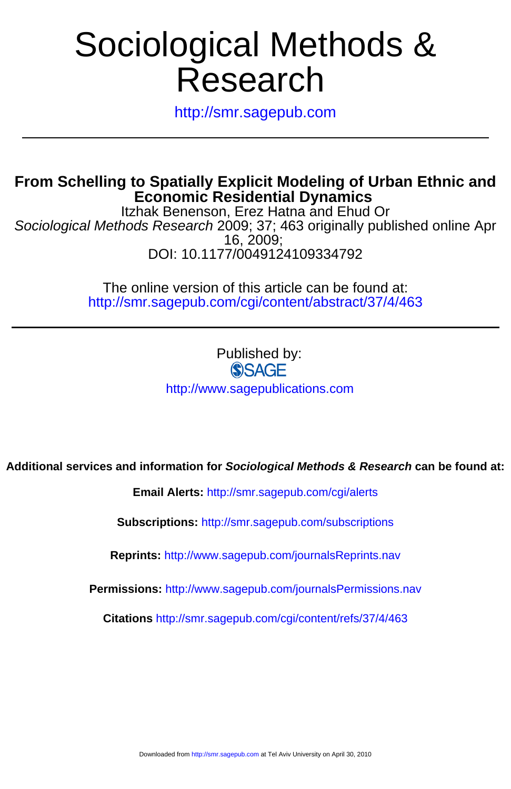# Research Sociological Methods &

http://smr.sagepub.com

# **Economic Residential Dynamics From Schelling to Spatially Explicit Modeling of Urban Ethnic and**

DOI: 10.1177/0049124109334792 16, 2009; Sociological Methods Research 2009; 37; 463 originally published online Apr Itzhak Benenson, Erez Hatna and Ehud Or

> http://smr.sagepub.com/cgi/content/abstract/37/4/463 The online version of this article can be found at:

> > Published by:<br>
> > SAGE http://www.sagepublications.com

#### **Additional services and information for Sociological Methods & Research can be found at:**

**Email Alerts:** <http://smr.sagepub.com/cgi/alerts>

**Subscriptions:** <http://smr.sagepub.com/subscriptions>

**Reprints:** <http://www.sagepub.com/journalsReprints.nav>

**Permissions:** <http://www.sagepub.com/journalsPermissions.nav>

**Citations** <http://smr.sagepub.com/cgi/content/refs/37/4/463>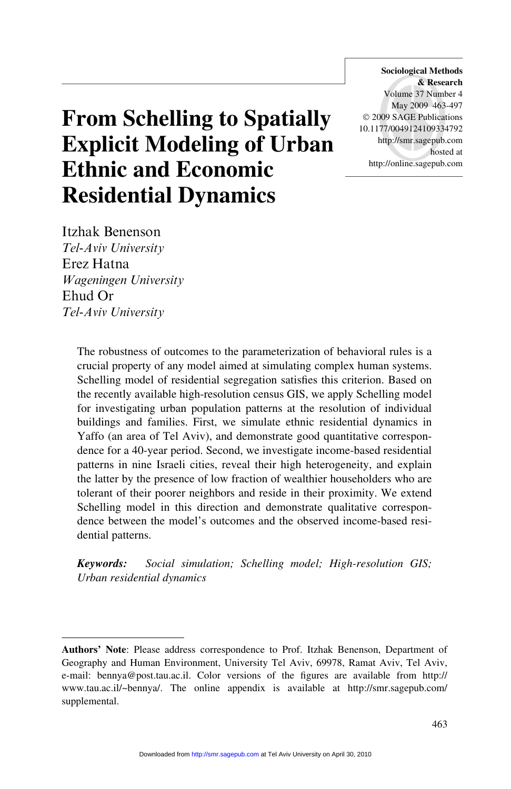Sociological Methods & Research Volume 37 Number 4 May 2009 463-497 © 2009 SAGE Publications 10.1177/0049124109334792 http://smr.sagepub.com hosted at http://online.sagepub.com

# From Schelling to Spatially Explicit Modeling of Urban Ethnic and Economic Residential Dynamics

Itzhak Benenson Tel-Aviv University Erez Hatna Wageningen University Ehud Or Tel-Aviv University

> The robustness of outcomes to the parameterization of behavioral rules is a crucial property of any model aimed at simulating complex human systems. Schelling model of residential segregation satisfies this criterion. Based on the recently available high-resolution census GIS, we apply Schelling model for investigating urban population patterns at the resolution of individual buildings and families. First, we simulate ethnic residential dynamics in Yaffo (an area of Tel Aviv), and demonstrate good quantitative correspondence for a 40-year period. Second, we investigate income-based residential patterns in nine Israeli cities, reveal their high heterogeneity, and explain the latter by the presence of low fraction of wealthier householders who are tolerant of their poorer neighbors and reside in their proximity. We extend Schelling model in this direction and demonstrate qualitative correspondence between the model's outcomes and the observed income-based residential patterns.

> Keywords: Social simulation; Schelling model; High-resolution GIS; Urban residential dynamics

Authors' Note: Please address correspondence to Prof. Itzhak Benenson, Department of Geography and Human Environment, University Tel Aviv, 69978, Ramat Aviv, Tel Aviv, e-mail: bennya@post.tau.ac.il. Color versions of the figures are available from http:// www.tau.ac.il/~bennya/. The online appendix is available at http://smr.sagepub.com/ supplemental.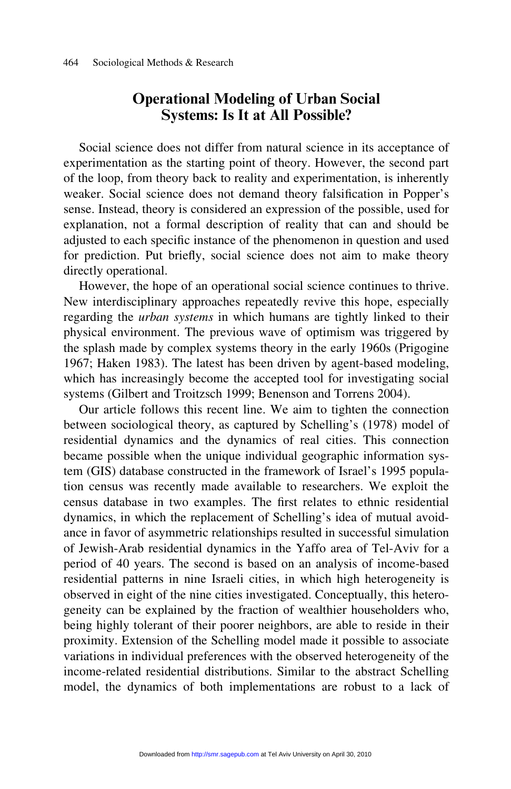# Operational Modeling of Urban Social Systems: Is It at All Possible?

Social science does not differ from natural science in its acceptance of experimentation as the starting point of theory. However, the second part of the loop, from theory back to reality and experimentation, is inherently weaker. Social science does not demand theory falsification in Popper's sense. Instead, theory is considered an expression of the possible, used for explanation, not a formal description of reality that can and should be adjusted to each specific instance of the phenomenon in question and used for prediction. Put briefly, social science does not aim to make theory directly operational.

However, the hope of an operational social science continues to thrive. New interdisciplinary approaches repeatedly revive this hope, especially regarding the urban systems in which humans are tightly linked to their physical environment. The previous wave of optimism was triggered by the splash made by complex systems theory in the early 1960s (Prigogine 1967; Haken 1983). The latest has been driven by agent-based modeling, which has increasingly become the accepted tool for investigating social systems (Gilbert and Troitzsch 1999; Benenson and Torrens 2004).

Our article follows this recent line. We aim to tighten the connection between sociological theory, as captured by Schelling's (1978) model of residential dynamics and the dynamics of real cities. This connection became possible when the unique individual geographic information system (GIS) database constructed in the framework of Israel's 1995 population census was recently made available to researchers. We exploit the census database in two examples. The first relates to ethnic residential dynamics, in which the replacement of Schelling's idea of mutual avoidance in favor of asymmetric relationships resulted in successful simulation of Jewish-Arab residential dynamics in the Yaffo area of Tel-Aviv for a period of 40 years. The second is based on an analysis of income-based residential patterns in nine Israeli cities, in which high heterogeneity is observed in eight of the nine cities investigated. Conceptually, this heterogeneity can be explained by the fraction of wealthier householders who, being highly tolerant of their poorer neighbors, are able to reside in their proximity. Extension of the Schelling model made it possible to associate variations in individual preferences with the observed heterogeneity of the income-related residential distributions. Similar to the abstract Schelling model, the dynamics of both implementations are robust to a lack of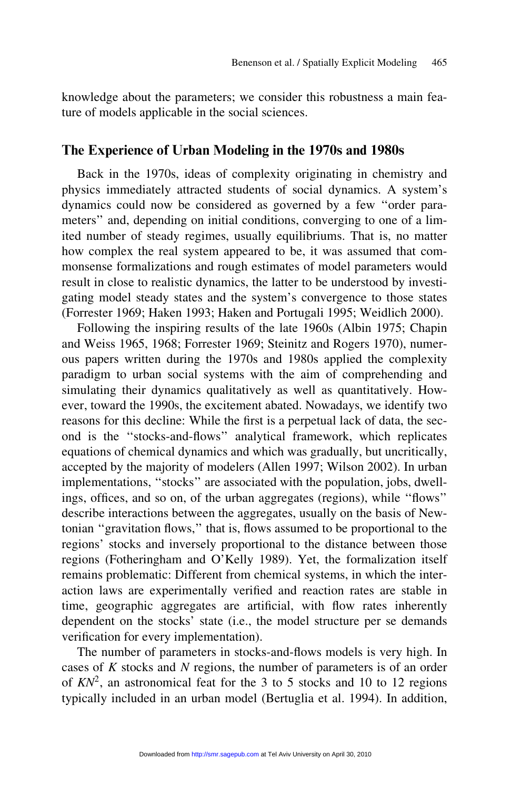knowledge about the parameters; we consider this robustness a main feature of models applicable in the social sciences.

#### The Experience of Urban Modeling in the 1970s and 1980s

Back in the 1970s, ideas of complexity originating in chemistry and physics immediately attracted students of social dynamics. A system's dynamics could now be considered as governed by a few ''order parameters'' and, depending on initial conditions, converging to one of a limited number of steady regimes, usually equilibriums. That is, no matter how complex the real system appeared to be, it was assumed that commonsense formalizations and rough estimates of model parameters would result in close to realistic dynamics, the latter to be understood by investigating model steady states and the system's convergence to those states (Forrester 1969; Haken 1993; Haken and Portugali 1995; Weidlich 2000).

Following the inspiring results of the late 1960s (Albin 1975; Chapin and Weiss 1965, 1968; Forrester 1969; Steinitz and Rogers 1970), numerous papers written during the 1970s and 1980s applied the complexity paradigm to urban social systems with the aim of comprehending and simulating their dynamics qualitatively as well as quantitatively. However, toward the 1990s, the excitement abated. Nowadays, we identify two reasons for this decline: While the first is a perpetual lack of data, the second is the ''stocks-and-flows'' analytical framework, which replicates equations of chemical dynamics and which was gradually, but uncritically, accepted by the majority of modelers (Allen 1997; Wilson 2002). In urban implementations, ''stocks'' are associated with the population, jobs, dwellings, offices, and so on, of the urban aggregates (regions), while ''flows'' describe interactions between the aggregates, usually on the basis of Newtonian ''gravitation flows,'' that is, flows assumed to be proportional to the regions' stocks and inversely proportional to the distance between those regions (Fotheringham and O'Kelly 1989). Yet, the formalization itself remains problematic: Different from chemical systems, in which the interaction laws are experimentally verified and reaction rates are stable in time, geographic aggregates are artificial, with flow rates inherently dependent on the stocks' state (i.e., the model structure per se demands verification for every implementation).

The number of parameters in stocks-and-flows models is very high. In cases of K stocks and N regions, the number of parameters is of an order of  $KN^2$ , an astronomical feat for the 3 to 5 stocks and 10 to 12 regions typically included in an urban model (Bertuglia et al. 1994). In addition,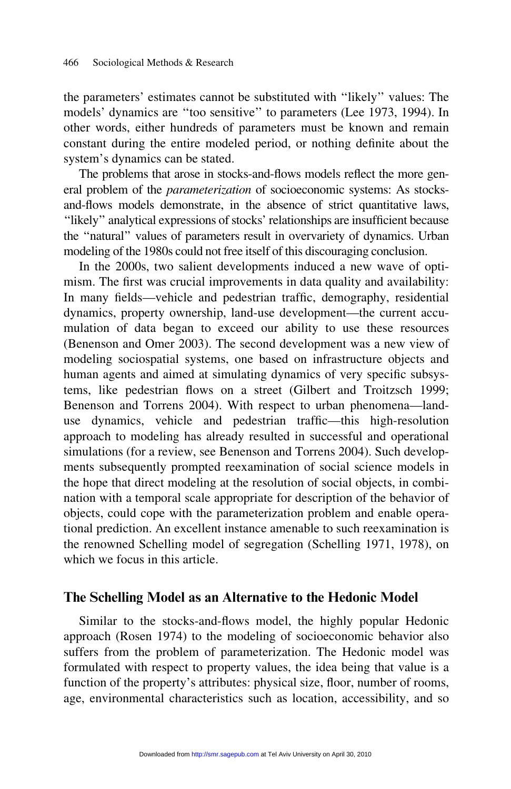the parameters' estimates cannot be substituted with ''likely'' values: The models' dynamics are ''too sensitive'' to parameters (Lee 1973, 1994). In other words, either hundreds of parameters must be known and remain constant during the entire modeled period, or nothing definite about the system's dynamics can be stated.

The problems that arose in stocks-and-flows models reflect the more general problem of the parameterization of socioeconomic systems: As stocksand-flows models demonstrate, in the absence of strict quantitative laws, ''likely'' analytical expressions of stocks' relationships are insufficient because the ''natural'' values of parameters result in overvariety of dynamics. Urban modeling of the 1980s could not free itself of this discouraging conclusion.

In the 2000s, two salient developments induced a new wave of optimism. The first was crucial improvements in data quality and availability: In many fields—vehicle and pedestrian traffic, demography, residential dynamics, property ownership, land-use development—the current accumulation of data began to exceed our ability to use these resources (Benenson and Omer 2003). The second development was a new view of modeling sociospatial systems, one based on infrastructure objects and human agents and aimed at simulating dynamics of very specific subsystems, like pedestrian flows on a street (Gilbert and Troitzsch 1999; Benenson and Torrens 2004). With respect to urban phenomena—landuse dynamics, vehicle and pedestrian traffic—this high-resolution approach to modeling has already resulted in successful and operational simulations (for a review, see Benenson and Torrens 2004). Such developments subsequently prompted reexamination of social science models in the hope that direct modeling at the resolution of social objects, in combination with a temporal scale appropriate for description of the behavior of objects, could cope with the parameterization problem and enable operational prediction. An excellent instance amenable to such reexamination is the renowned Schelling model of segregation (Schelling 1971, 1978), on which we focus in this article.

#### The Schelling Model as an Alternative to the Hedonic Model

Similar to the stocks-and-flows model, the highly popular Hedonic approach (Rosen 1974) to the modeling of socioeconomic behavior also suffers from the problem of parameterization. The Hedonic model was formulated with respect to property values, the idea being that value is a function of the property's attributes: physical size, floor, number of rooms, age, environmental characteristics such as location, accessibility, and so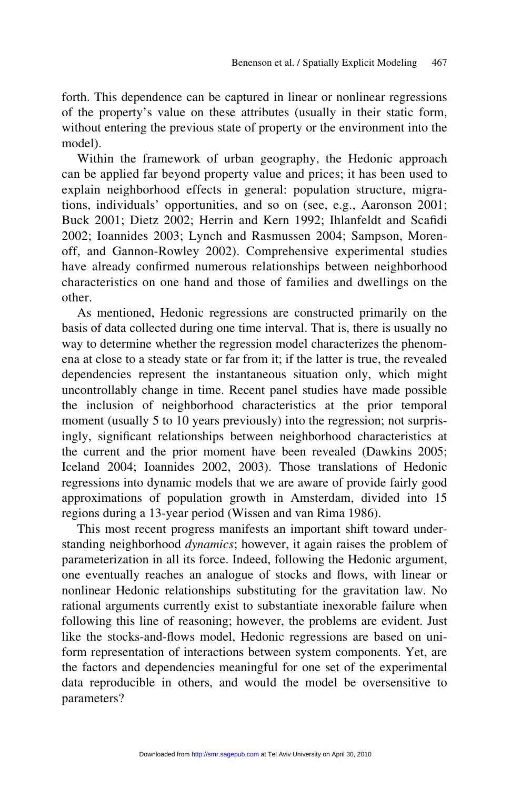forth. This dependence can be captured in linear or nonlinear regressions of the property's value on these attributes (usually in their static form, without entering the previous state of property or the environment into the model).

Within the framework of urban geography, the Hedonic approach can be applied far beyond property value and prices; it has been used to explain neighborhood effects in general: population structure, migrations, individuals' opportunities, and so on (see, e.g., Aaronson 2001; Buck 2001; Dietz 2002; Herrin and Kern 1992; Ihlanfeldt and Scafidi 2002; Ioannides 2003; Lynch and Rasmussen 2004; Sampson, Morenoff, and Gannon-Rowley 2002). Comprehensive experimental studies have already confirmed numerous relationships between neighborhood characteristics on one hand and those of families and dwellings on the other.

As mentioned, Hedonic regressions are constructed primarily on the basis of data collected during one time interval. That is, there is usually no way to determine whether the regression model characterizes the phenomena at close to a steady state or far from it; if the latter is true, the revealed dependencies represent the instantaneous situation only, which might uncontrollably change in time. Recent panel studies have made possible the inclusion of neighborhood characteristics at the prior temporal moment (usually 5 to 10 years previously) into the regression; not surprisingly, significant relationships between neighborhood characteristics at the current and the prior moment have been revealed (Dawkins 2005; Iceland 2004; Ioannides 2002, 2003). Those translations of Hedonic regressions into dynamic models that we are aware of provide fairly good approximations of population growth in Amsterdam, divided into 15 regions during a 13-year period (Wissen and van Rima 1986).

This most recent progress manifests an important shift toward understanding neighborhood dynamics; however, it again raises the problem of parameterization in all its force. Indeed, following the Hedonic argument, one eventually reaches an analogue of stocks and flows, with linear or nonlinear Hedonic relationships substituting for the gravitation law. No rational arguments currently exist to substantiate inexorable failure when following this line of reasoning; however, the problems are evident. Just like the stocks-and-flows model, Hedonic regressions are based on uniform representation of interactions between system components. Yet, are the factors and dependencies meaningful for one set of the experimental data reproducible in others, and would the model be oversensitive to parameters?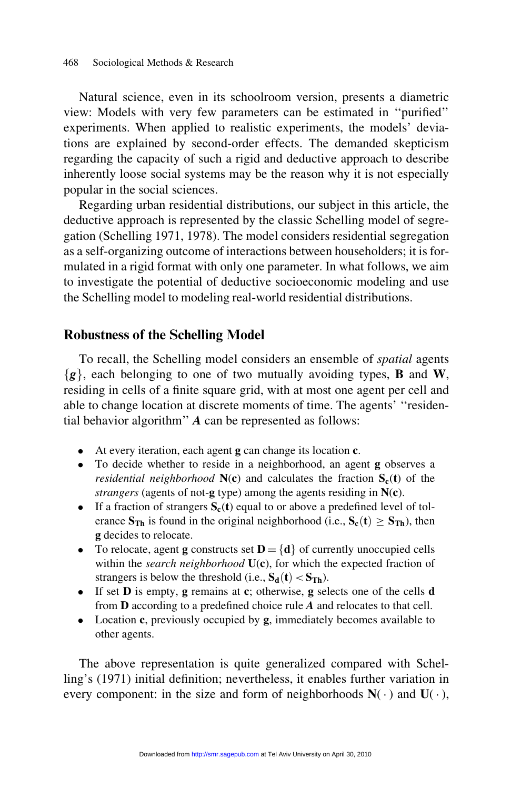Natural science, even in its schoolroom version, presents a diametric view: Models with very few parameters can be estimated in ''purified'' experiments. When applied to realistic experiments, the models' deviations are explained by second-order effects. The demanded skepticism regarding the capacity of such a rigid and deductive approach to describe inherently loose social systems may be the reason why it is not especially popular in the social sciences.

Regarding urban residential distributions, our subject in this article, the deductive approach is represented by the classic Schelling model of segregation (Schelling 1971, 1978). The model considers residential segregation as a self-organizing outcome of interactions between householders; it is formulated in a rigid format with only one parameter. In what follows, we aim to investigate the potential of deductive socioeconomic modeling and use the Schelling model to modeling real-world residential distributions.

#### Robustness of the Schelling Model

To recall, the Schelling model considers an ensemble of spatial agents  $\{g\}$ , each belonging to one of two mutually avoiding types, **B** and **W**, residing in cells of a finite square grid, with at most one agent per cell and able to change location at discrete moments of time. The agents' ''residential behavior algorithm'' A can be represented as follows:

- At every iteration, each agent **g** can change its location **c**.
- To decide whether to reside in a neighborhood, an agent **g** observes a *residential neighborhood*  $N(c)$  and calculates the fraction  $S_c(t)$  of the strangers (agents of not-g type) among the agents residing in  $N(c)$ .
- If a fraction of strangers  $S_c(t)$  equal to or above a predefined level of tolerance  $S_{Th}$  is found in the original neighborhood (i.e.,  $S_c(t) \geq S_{Th}$ ), then g decides to relocate.
- To relocate, agent **g** constructs set  $D = \{d\}$  of currently unoccupied cells within the *search neighborhood*  $U(c)$ , for which the expected fraction of strangers is below the threshold (i.e.,  $S_d(t) < S_{Th}$ ).
- If set **D** is empty, **g** remains at **c**; otherwise, **g** selects one of the cells **d** from D according to a predefined choice rule A and relocates to that cell.
- Location c, previously occupied by g, immediately becomes available to other agents.

The above representation is quite generalized compared with Schelling's (1971) initial definition; nevertheless, it enables further variation in every component: in the size and form of neighborhoods  $N(\cdot)$  and  $U(\cdot)$ ,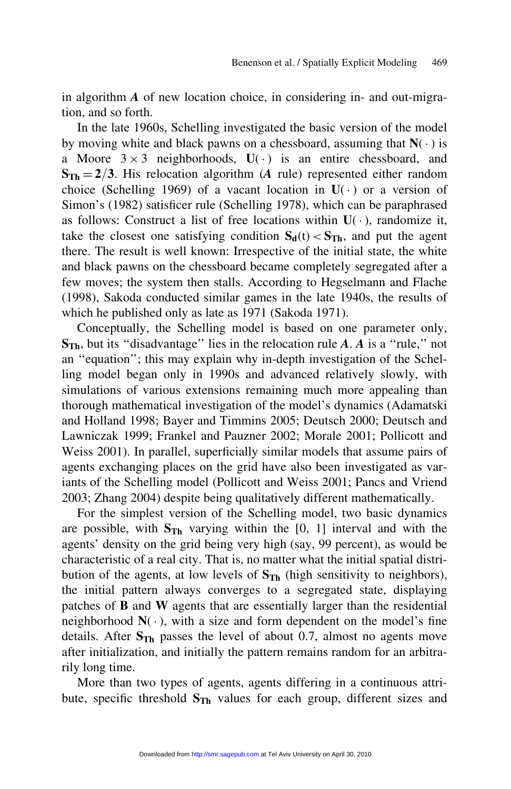in algorithm  $\vec{A}$  of new location choice, in considering in- and out-migration, and so forth.

In the late 1960s, Schelling investigated the basic version of the model by moving white and black pawns on a chessboard, assuming that  $N(\cdot)$  is a Moore  $3 \times 3$  neighborhoods,  $U(\cdot)$  is an entire chessboard, and  $S_{\text{Th}} = 2/3$ . His relocation algorithm (A rule) represented either random choice (Schelling 1969) of a vacant location in  $U(·)$  or a version of Simon's (1982) satisficer rule (Schelling 1978), which can be paraphrased as follows: Construct a list of free locations within  $U(\cdot)$ , randomize it, take the closest one satisfying condition  $S_d(t) < S_{Th}$ , and put the agent there. The result is well known: Irrespective of the initial state, the white and black pawns on the chessboard became completely segregated after a few moves; the system then stalls. According to Hegselmann and Flache (1998), Sakoda conducted similar games in the late 1940s, the results of which he published only as late as 1971 (Sakoda 1971).

Conceptually, the Schelling model is based on one parameter only,  $S_{Th}$ , but its "disadvantage" lies in the relocation rule A. A is a "rule," not an ''equation''; this may explain why in-depth investigation of the Schelling model began only in 1990s and advanced relatively slowly, with simulations of various extensions remaining much more appealing than thorough mathematical investigation of the model's dynamics (Adamatski and Holland 1998; Bayer and Timmins 2005; Deutsch 2000; Deutsch and Lawniczak 1999; Frankel and Pauzner 2002; Morale 2001; Pollicott and Weiss 2001). In parallel, superficially similar models that assume pairs of agents exchanging places on the grid have also been investigated as variants of the Schelling model (Pollicott and Weiss 2001; Pancs and Vriend 2003; Zhang 2004) despite being qualitatively different mathematically.

For the simplest version of the Schelling model, two basic dynamics are possible, with  $S_{Th}$  varying within the [0, 1] interval and with the agents' density on the grid being very high (say, 99 percent), as would be characteristic of a real city. That is, no matter what the initial spatial distribution of the agents, at low levels of  $S_{Th}$  (high sensitivity to neighbors), the initial pattern always converges to a segregated state, displaying patches of B and W agents that are essentially larger than the residential neighborhood  $N(\cdot)$ , with a size and form dependent on the model's fine details. After  $S_{Th}$  passes the level of about 0.7, almost no agents move after initialization, and initially the pattern remains random for an arbitrarily long time.

More than two types of agents, agents differing in a continuous attribute, specific threshold  $S_{Th}$  values for each group, different sizes and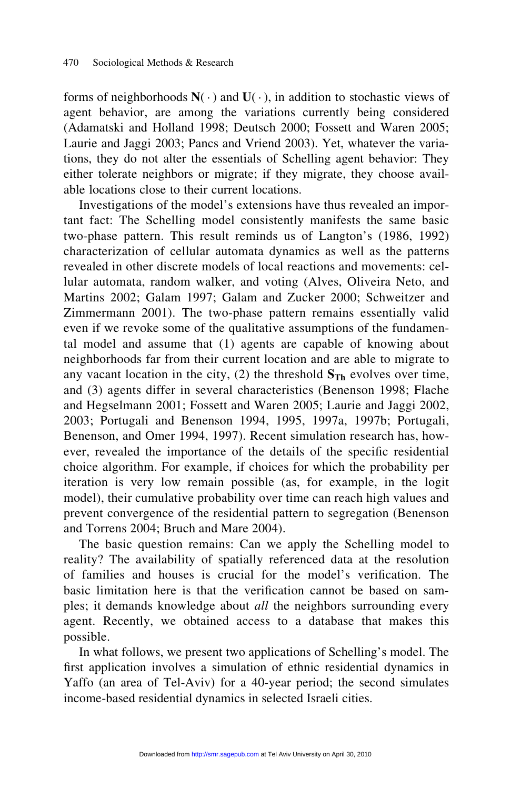forms of neighborhoods  $N(\cdot)$  and  $U(\cdot)$ , in addition to stochastic views of agent behavior, are among the variations currently being considered (Adamatski and Holland 1998; Deutsch 2000; Fossett and Waren 2005; Laurie and Jaggi 2003; Pancs and Vriend 2003). Yet, whatever the variations, they do not alter the essentials of Schelling agent behavior: They either tolerate neighbors or migrate; if they migrate, they choose available locations close to their current locations.

Investigations of the model's extensions have thus revealed an important fact: The Schelling model consistently manifests the same basic two-phase pattern. This result reminds us of Langton's (1986, 1992) characterization of cellular automata dynamics as well as the patterns revealed in other discrete models of local reactions and movements: cellular automata, random walker, and voting (Alves, Oliveira Neto, and Martins 2002; Galam 1997; Galam and Zucker 2000; Schweitzer and Zimmermann 2001). The two-phase pattern remains essentially valid even if we revoke some of the qualitative assumptions of the fundamental model and assume that (1) agents are capable of knowing about neighborhoods far from their current location and are able to migrate to any vacant location in the city, (2) the threshold  $S_{Th}$  evolves over time, and (3) agents differ in several characteristics (Benenson 1998; Flache and Hegselmann 2001; Fossett and Waren 2005; Laurie and Jaggi 2002, 2003; Portugali and Benenson 1994, 1995, 1997a, 1997b; Portugali, Benenson, and Omer 1994, 1997). Recent simulation research has, however, revealed the importance of the details of the specific residential choice algorithm. For example, if choices for which the probability per iteration is very low remain possible (as, for example, in the logit model), their cumulative probability over time can reach high values and prevent convergence of the residential pattern to segregation (Benenson and Torrens 2004; Bruch and Mare 2004).

The basic question remains: Can we apply the Schelling model to reality? The availability of spatially referenced data at the resolution of families and houses is crucial for the model's verification. The basic limitation here is that the verification cannot be based on samples; it demands knowledge about *all* the neighbors surrounding every agent. Recently, we obtained access to a database that makes this possible.

In what follows, we present two applications of Schelling's model. The first application involves a simulation of ethnic residential dynamics in Yaffo (an area of Tel-Aviv) for a 40-year period; the second simulates income-based residential dynamics in selected Israeli cities.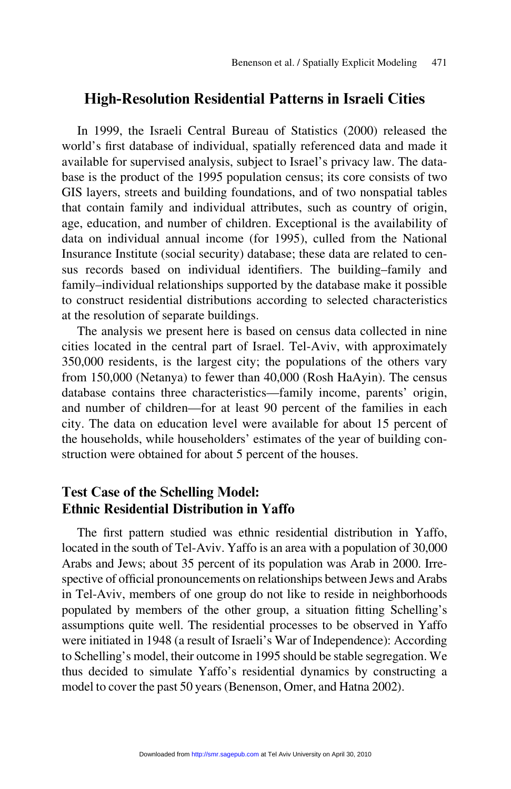#### High-Resolution Residential Patterns in Israeli Cities

In 1999, the Israeli Central Bureau of Statistics (2000) released the world's first database of individual, spatially referenced data and made it available for supervised analysis, subject to Israel's privacy law. The database is the product of the 1995 population census; its core consists of two GIS layers, streets and building foundations, and of two nonspatial tables that contain family and individual attributes, such as country of origin, age, education, and number of children. Exceptional is the availability of data on individual annual income (for 1995), culled from the National Insurance Institute (social security) database; these data are related to census records based on individual identifiers. The building–family and family–individual relationships supported by the database make it possible to construct residential distributions according to selected characteristics at the resolution of separate buildings.

The analysis we present here is based on census data collected in nine cities located in the central part of Israel. Tel-Aviv, with approximately 350,000 residents, is the largest city; the populations of the others vary from 150,000 (Netanya) to fewer than 40,000 (Rosh HaAyin). The census database contains three characteristics—family income, parents' origin, and number of children—for at least 90 percent of the families in each city. The data on education level were available for about 15 percent of the households, while householders' estimates of the year of building construction were obtained for about 5 percent of the houses.

# Test Case of the Schelling Model: Ethnic Residential Distribution in Yaffo

The first pattern studied was ethnic residential distribution in Yaffo, located in the south of Tel-Aviv. Yaffo is an area with a population of 30,000 Arabs and Jews; about 35 percent of its population was Arab in 2000. Irrespective of official pronouncements on relationships between Jews and Arabs in Tel-Aviv, members of one group do not like to reside in neighborhoods populated by members of the other group, a situation fitting Schelling's assumptions quite well. The residential processes to be observed in Yaffo were initiated in 1948 (a result of Israeli's War of Independence): According to Schelling's model, their outcome in 1995 should be stable segregation. We thus decided to simulate Yaffo's residential dynamics by constructing a model to cover the past 50 years (Benenson, Omer, and Hatna 2002).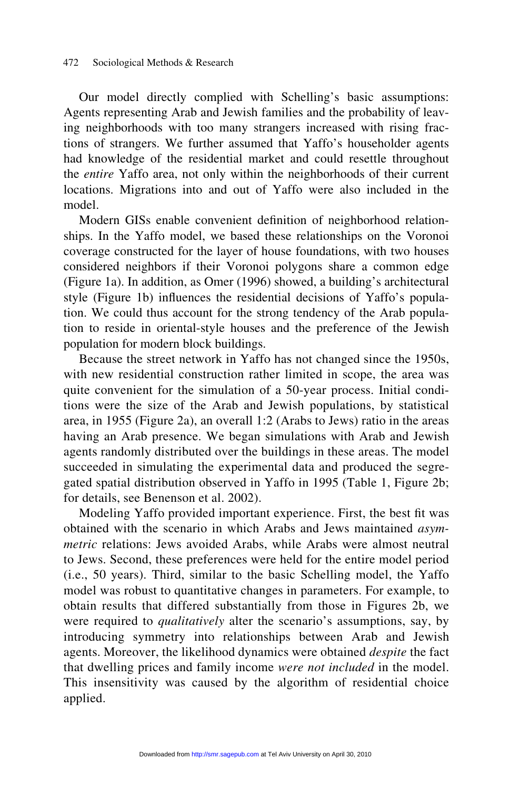Our model directly complied with Schelling's basic assumptions: Agents representing Arab and Jewish families and the probability of leaving neighborhoods with too many strangers increased with rising fractions of strangers. We further assumed that Yaffo's householder agents had knowledge of the residential market and could resettle throughout the entire Yaffo area, not only within the neighborhoods of their current locations. Migrations into and out of Yaffo were also included in the model.

Modern GISs enable convenient definition of neighborhood relationships. In the Yaffo model, we based these relationships on the Voronoi coverage constructed for the layer of house foundations, with two houses considered neighbors if their Voronoi polygons share a common edge (Figure 1a). In addition, as Omer (1996) showed, a building's architectural style (Figure 1b) influences the residential decisions of Yaffo's population. We could thus account for the strong tendency of the Arab population to reside in oriental-style houses and the preference of the Jewish population for modern block buildings.

Because the street network in Yaffo has not changed since the 1950s, with new residential construction rather limited in scope, the area was quite convenient for the simulation of a 50-year process. Initial conditions were the size of the Arab and Jewish populations, by statistical area, in 1955 (Figure 2a), an overall 1:2 (Arabs to Jews) ratio in the areas having an Arab presence. We began simulations with Arab and Jewish agents randomly distributed over the buildings in these areas. The model succeeded in simulating the experimental data and produced the segregated spatial distribution observed in Yaffo in 1995 (Table 1, Figure 2b; for details, see Benenson et al. 2002).

Modeling Yaffo provided important experience. First, the best fit was obtained with the scenario in which Arabs and Jews maintained asymmetric relations: Jews avoided Arabs, while Arabs were almost neutral to Jews. Second, these preferences were held for the entire model period (i.e., 50 years). Third, similar to the basic Schelling model, the Yaffo model was robust to quantitative changes in parameters. For example, to obtain results that differed substantially from those in Figures 2b, we were required to *qualitatively* alter the scenario's assumptions, say, by introducing symmetry into relationships between Arab and Jewish agents. Moreover, the likelihood dynamics were obtained despite the fact that dwelling prices and family income were not included in the model. This insensitivity was caused by the algorithm of residential choice applied.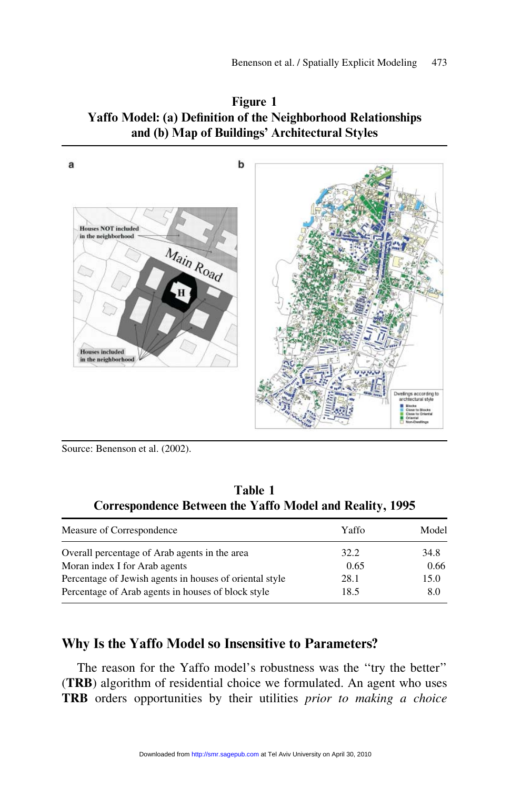



Source: Benenson et al. (2002).

|                                                          | Table 1 |  |  |
|----------------------------------------------------------|---------|--|--|
| Correspondence Between the Yaffo Model and Reality, 1995 |         |  |  |

| Measure of Correspondence                               | Yaffo | Model |
|---------------------------------------------------------|-------|-------|
| Overall percentage of Arab agents in the area           | 32.2  | 34.8  |
| Moran index I for Arab agents                           | 0.65  | 0.66  |
| Percentage of Jewish agents in houses of oriental style | 28.1  | 15.0  |
| Percentage of Arab agents in houses of block style      | 18.5  | 8.0   |

# Why Is the Yaffo Model so Insensitive to Parameters?

The reason for the Yaffo model's robustness was the ''try the better'' (TRB) algorithm of residential choice we formulated. An agent who uses **TRB** orders opportunities by their utilities *prior to making a choice*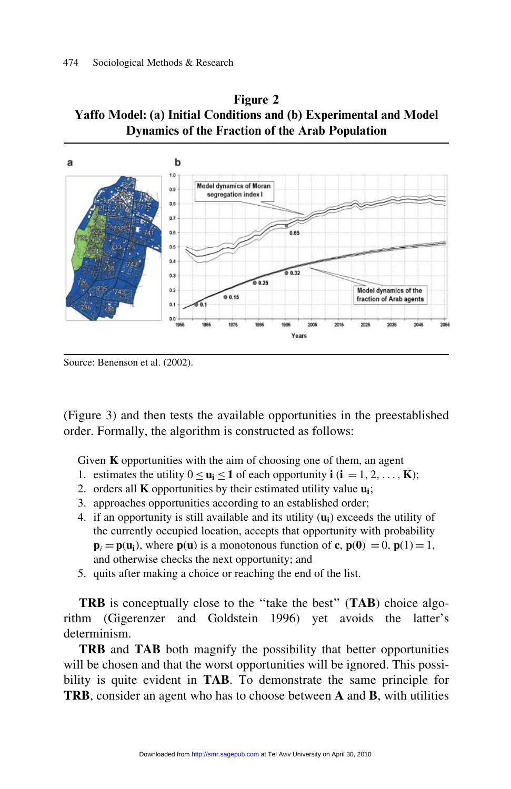



Source: Benenson et al. (2002).

(Figure 3) and then tests the available opportunities in the preestablished order. Formally, the algorithm is constructed as follows:

Given K opportunities with the aim of choosing one of them, an agent

- 1. estimates the utility  $0 \le u_i \le 1$  of each opportunity  $i$  ( $i = 1, 2, ..., K$ );
- 2. orders all **K** opportunities by their estimated utility value  $\mathbf{u}_i$ ;
- 3. approaches opportunities according to an established order;
- 4. if an opportunity is still available and its utility  $(\mathbf{u}_i)$  exceeds the utility of the currently occupied location, accepts that opportunity with probability  $p_i = p(u_i)$ , where  $p(u)$  is a monotonous function of c,  $p(0) = 0$ ,  $p(1) = 1$ , and otherwise checks the next opportunity; and
- 5. quits after making a choice or reaching the end of the list.

TRB is conceptually close to the "take the best" (TAB) choice algorithm (Gigerenzer and Goldstein 1996) yet avoids the latter's determinism.

TRB and TAB both magnify the possibility that better opportunities will be chosen and that the worst opportunities will be ignored. This possibility is quite evident in TAB. To demonstrate the same principle for TRB, consider an agent who has to choose between A and B, with utilities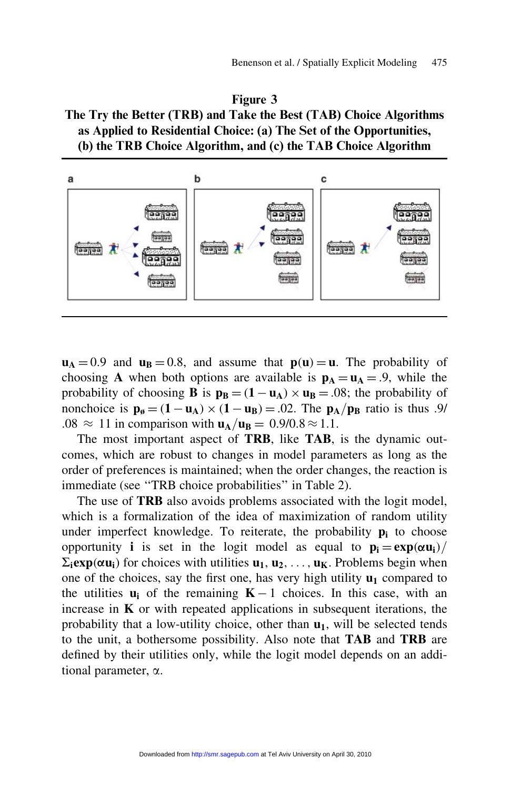



 $u_A = 0.9$  and  $u_B = 0.8$ , and assume that  $p(u) = u$ . The probability of choosing **A** when both options are available is  $p_A = u_A = 0$ , while the probability of choosing **B** is  $\mathbf{p}_B = (1 - \mathbf{u}_A) \times \mathbf{u}_B = .08$ ; the probability of nonchoice is  $\mathbf{p}_{\theta} = (1 - \mathbf{u}_{A}) \times (1 - \mathbf{u}_{B}) = .02$ . The  $\mathbf{p}_{A}/\mathbf{p}_{B}$  ratio is thus .9/ .08  $\approx$  11 in comparison with  $\mathbf{u}_A/\mathbf{u}_B = 0.9/0.8 \approx 1.1$ .

The most important aspect of TRB, like TAB, is the dynamic outcomes, which are robust to changes in model parameters as long as the order of preferences is maintained; when the order changes, the reaction is immediate (see ''TRB choice probabilities'' in Table 2).

The use of TRB also avoids problems associated with the logit model, which is a formalization of the idea of maximization of random utility under imperfect knowledge. To reiterate, the probability  $p_i$  to choose opportunity **i** is set in the logit model as equal to  $\mathbf{p_i} = \exp(\alpha \mathbf{u_i})/$  $\Sigma_i \exp(\alpha u_i)$  for choices with utilities  $u_1, u_2, \ldots, u_K$ . Problems begin when one of the choices, say the first one, has very high utility  $\mathbf{u}_1$  compared to the utilities  $\mathbf{u}_i$  of the remaining  $\mathbf{K} - 1$  choices. In this case, with an increase in  $K$  or with repeated applications in subsequent iterations, the probability that a low-utility choice, other than  $\mathbf{u}_1$ , will be selected tends to the unit, a bothersome possibility. Also note that TAB and TRB are defined by their utilities only, while the logit model depends on an additional parameter, a.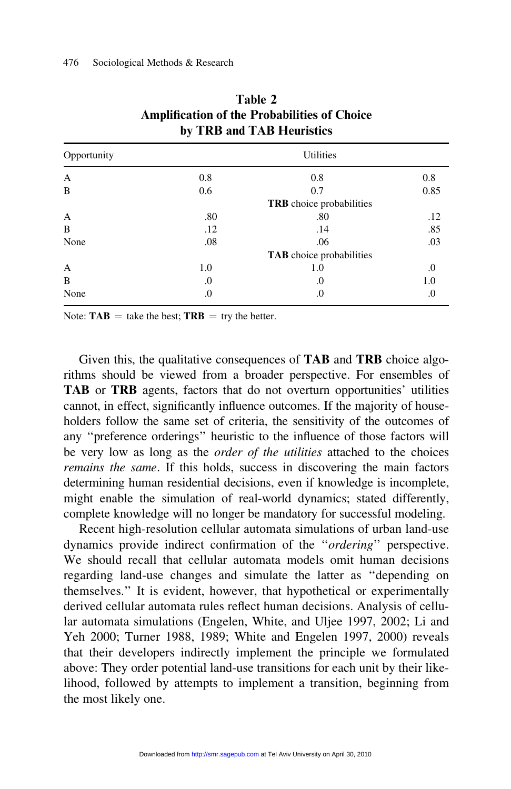|         | Utilities                |                          |
|---------|--------------------------|--------------------------|
| 0.8     | 0.8                      | 0.8                      |
| 0.6     | 0.7                      | 0.85                     |
|         | TRB choice probabilities |                          |
| .80     | .80                      | .12                      |
| .12     | .14                      | .85                      |
| .08     | .06                      | .03                      |
|         |                          |                          |
| 1.0     | 1.0                      | .0                       |
| $\cdot$ | $\cdot$                  | 1.0                      |
| .0      | .0                       | .0                       |
|         |                          | TAB choice probabilities |

| Table 2                                             |
|-----------------------------------------------------|
| <b>Amplification of the Probabilities of Choice</b> |
| by TRB and TAB Heuristics                           |

Note:  $TAB =$  take the best;  $TRB =$  try the better.

Given this, the qualitative consequences of TAB and TRB choice algorithms should be viewed from a broader perspective. For ensembles of TAB or TRB agents, factors that do not overturn opportunities' utilities cannot, in effect, significantly influence outcomes. If the majority of householders follow the same set of criteria, the sensitivity of the outcomes of any ''preference orderings'' heuristic to the influence of those factors will be very low as long as the *order of the utilities* attached to the choices remains the same. If this holds, success in discovering the main factors determining human residential decisions, even if knowledge is incomplete, might enable the simulation of real-world dynamics; stated differently, complete knowledge will no longer be mandatory for successful modeling.

Recent high-resolution cellular automata simulations of urban land-use dynamics provide indirect confirmation of the ''ordering'' perspective. We should recall that cellular automata models omit human decisions regarding land-use changes and simulate the latter as ''depending on themselves.'' It is evident, however, that hypothetical or experimentally derived cellular automata rules reflect human decisions. Analysis of cellular automata simulations (Engelen, White, and Uljee 1997, 2002; Li and Yeh 2000; Turner 1988, 1989; White and Engelen 1997, 2000) reveals that their developers indirectly implement the principle we formulated above: They order potential land-use transitions for each unit by their likelihood, followed by attempts to implement a transition, beginning from the most likely one.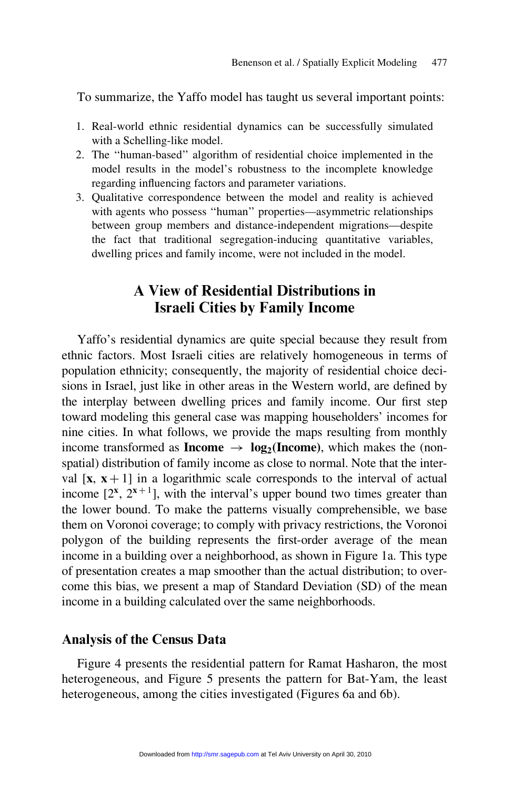To summarize, the Yaffo model has taught us several important points:

- 1. Real-world ethnic residential dynamics can be successfully simulated with a Schelling-like model.
- 2. The ''human-based'' algorithm of residential choice implemented in the model results in the model's robustness to the incomplete knowledge regarding influencing factors and parameter variations.
- 3. Qualitative correspondence between the model and reality is achieved with agents who possess ''human'' properties—asymmetric relationships between group members and distance-independent migrations—despite the fact that traditional segregation-inducing quantitative variables, dwelling prices and family income, were not included in the model.

# A View of Residential Distributions in Israeli Cities by Family Income

Yaffo's residential dynamics are quite special because they result from ethnic factors. Most Israeli cities are relatively homogeneous in terms of population ethnicity; consequently, the majority of residential choice decisions in Israel, just like in other areas in the Western world, are defined by the interplay between dwelling prices and family income. Our first step toward modeling this general case was mapping householders' incomes for nine cities. In what follows, we provide the maps resulting from monthly income transformed as **Income**  $\rightarrow$  **log**<sub>2</sub>(**Income**), which makes the (nonspatial) distribution of family income as close to normal. Note that the interval  $[x, x+1]$  in a logarithmic scale corresponds to the interval of actual income  $[2^x, 2^{x+1}]$ , with the interval's upper bound two times greater than the lower bound. To make the patterns visually comprehensible, we base them on Voronoi coverage; to comply with privacy restrictions, the Voronoi polygon of the building represents the first-order average of the mean income in a building over a neighborhood, as shown in Figure 1a. This type of presentation creates a map smoother than the actual distribution; to overcome this bias, we present a map of Standard Deviation (SD) of the mean income in a building calculated over the same neighborhoods.

#### Analysis of the Census Data

Figure 4 presents the residential pattern for Ramat Hasharon, the most heterogeneous, and Figure 5 presents the pattern for Bat-Yam, the least heterogeneous, among the cities investigated (Figures 6a and 6b).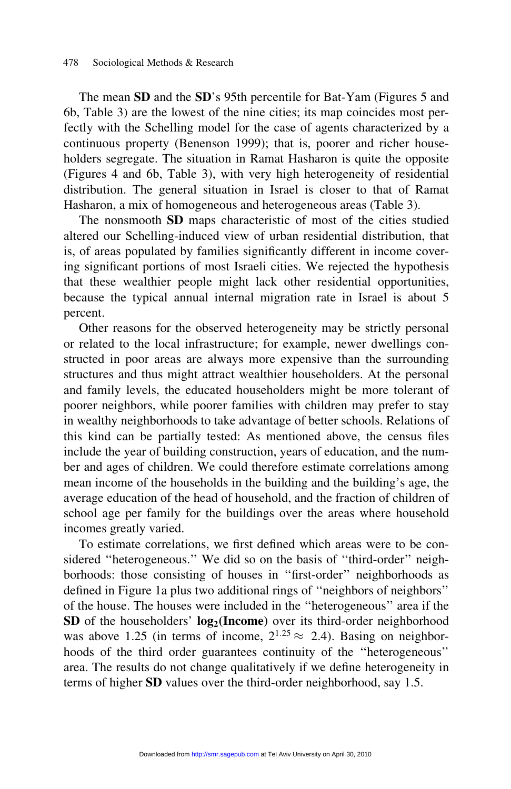The mean SD and the SD's 95th percentile for Bat-Yam (Figures 5 and 6b, Table 3) are the lowest of the nine cities; its map coincides most perfectly with the Schelling model for the case of agents characterized by a continuous property (Benenson 1999); that is, poorer and richer householders segregate. The situation in Ramat Hasharon is quite the opposite (Figures 4 and 6b, Table 3), with very high heterogeneity of residential distribution. The general situation in Israel is closer to that of Ramat Hasharon, a mix of homogeneous and heterogeneous areas (Table 3).

The nonsmooth SD maps characteristic of most of the cities studied altered our Schelling-induced view of urban residential distribution, that is, of areas populated by families significantly different in income covering significant portions of most Israeli cities. We rejected the hypothesis that these wealthier people might lack other residential opportunities, because the typical annual internal migration rate in Israel is about 5 percent.

Other reasons for the observed heterogeneity may be strictly personal or related to the local infrastructure; for example, newer dwellings constructed in poor areas are always more expensive than the surrounding structures and thus might attract wealthier householders. At the personal and family levels, the educated householders might be more tolerant of poorer neighbors, while poorer families with children may prefer to stay in wealthy neighborhoods to take advantage of better schools. Relations of this kind can be partially tested: As mentioned above, the census files include the year of building construction, years of education, and the number and ages of children. We could therefore estimate correlations among mean income of the households in the building and the building's age, the average education of the head of household, and the fraction of children of school age per family for the buildings over the areas where household incomes greatly varied.

To estimate correlations, we first defined which areas were to be considered ''heterogeneous.'' We did so on the basis of ''third-order'' neighborhoods: those consisting of houses in ''first-order'' neighborhoods as defined in Figure 1a plus two additional rings of ''neighbors of neighbors'' of the house. The houses were included in the ''heterogeneous'' area if the SD of the householders'  $log_2(Income)$  over its third-order neighborhood was above 1.25 (in terms of income,  $2^{1.25} \approx 2.4$ ). Basing on neighborhoods of the third order guarantees continuity of the ''heterogeneous'' area. The results do not change qualitatively if we define heterogeneity in terms of higher SD values over the third-order neighborhood, say 1.5.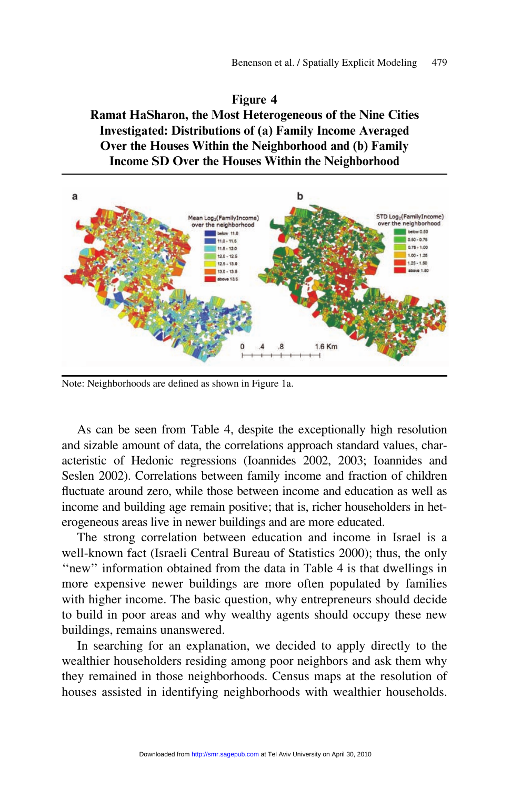# Figure 4 Ramat HaSharon, the Most Heterogeneous of the Nine Cities Investigated: Distributions of (a) Family Income Averaged Over the Houses Within the Neighborhood and (b) Family Income SD Over the Houses Within the Neighborhood



Note: Neighborhoods are defined as shown in Figure 1a.

As can be seen from Table 4, despite the exceptionally high resolution and sizable amount of data, the correlations approach standard values, characteristic of Hedonic regressions (Ioannides 2002, 2003; Ioannides and Seslen 2002). Correlations between family income and fraction of children fluctuate around zero, while those between income and education as well as income and building age remain positive; that is, richer householders in heterogeneous areas live in newer buildings and are more educated.

The strong correlation between education and income in Israel is a well-known fact (Israeli Central Bureau of Statistics 2000); thus, the only "new" information obtained from the data in Table 4 is that dwellings in more expensive newer buildings are more often populated by families with higher income. The basic question, why entrepreneurs should decide to build in poor areas and why wealthy agents should occupy these new buildings, remains unanswered.

In searching for an explanation, we decided to apply directly to the wealthier householders residing among poor neighbors and ask them why they remained in those neighborhoods. Census maps at the resolution of houses assisted in identifying neighborhoods with wealthier households.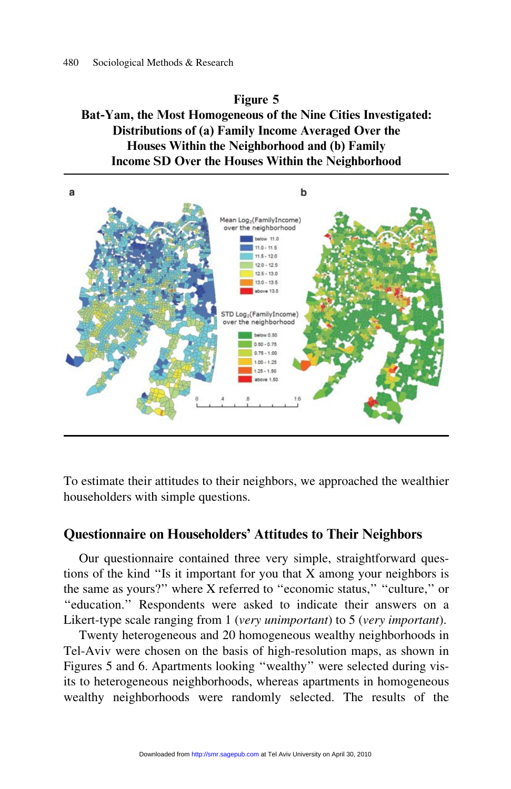# Figure 5 Bat-Yam, the Most Homogeneous of the Nine Cities Investigated: Distributions of (a) Family Income Averaged Over the Houses Within the Neighborhood and (b) Family Income SD Over the Houses Within the Neighborhood



To estimate their attitudes to their neighbors, we approached the wealthier householders with simple questions.

#### Questionnaire on Householders' Attitudes to Their Neighbors

Our questionnaire contained three very simple, straightforward questions of the kind ''Is it important for you that X among your neighbors is the same as yours?'' where X referred to ''economic status,'' ''culture,'' or ''education.'' Respondents were asked to indicate their answers on a Likert-type scale ranging from 1 (very unimportant) to 5 (very important).

Twenty heterogeneous and 20 homogeneous wealthy neighborhoods in Tel-Aviv were chosen on the basis of high-resolution maps, as shown in Figures 5 and 6. Apartments looking ''wealthy'' were selected during visits to heterogeneous neighborhoods, whereas apartments in homogeneous wealthy neighborhoods were randomly selected. The results of the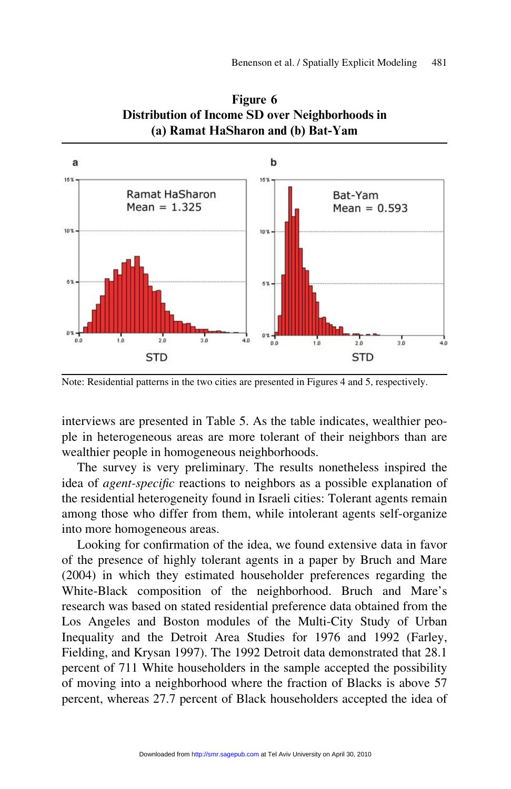



Note: Residential patterns in the two cities are presented in Figures 4 and 5, respectively.

interviews are presented in Table 5. As the table indicates, wealthier people in heterogeneous areas are more tolerant of their neighbors than are wealthier people in homogeneous neighborhoods.

The survey is very preliminary. The results nonetheless inspired the idea of agent-specific reactions to neighbors as a possible explanation of the residential heterogeneity found in Israeli cities: Tolerant agents remain among those who differ from them, while intolerant agents self-organize into more homogeneous areas.

Looking for confirmation of the idea, we found extensive data in favor of the presence of highly tolerant agents in a paper by Bruch and Mare (2004) in which they estimated householder preferences regarding the White-Black composition of the neighborhood. Bruch and Mare's research was based on stated residential preference data obtained from the Los Angeles and Boston modules of the Multi-City Study of Urban Inequality and the Detroit Area Studies for 1976 and 1992 (Farley, Fielding, and Krysan 1997). The 1992 Detroit data demonstrated that 28.1 percent of 711 White householders in the sample accepted the possibility of moving into a neighborhood where the fraction of Blacks is above 57 percent, whereas 27.7 percent of Black householders accepted the idea of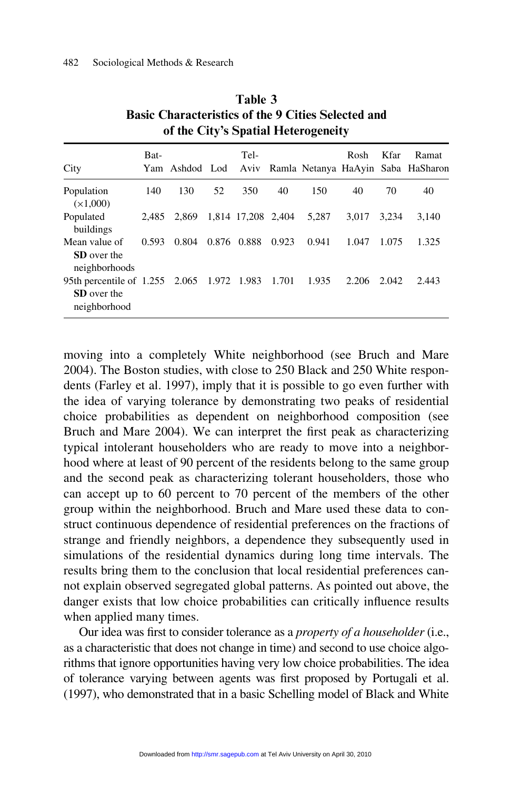| City                                                                             | Bat-  | Yam Ashdod Lod |       | Tel-<br>Aviv       |       |       | Rosh  | Kfar  | Ramat<br>Ramla Netanya HaAyin Saba HaSharon |
|----------------------------------------------------------------------------------|-------|----------------|-------|--------------------|-------|-------|-------|-------|---------------------------------------------|
| Population<br>(x1,000)                                                           | 140   | 130            | 52    | 350                | 40    | 150   | 40    | 70    | 40                                          |
| Populated<br>buildings                                                           | 2.485 | 2.869          |       | 1.814 17.208 2.404 |       | 5.287 | 3.017 | 3.234 | 3.140                                       |
| Mean value of<br><b>SD</b> over the<br>neighborhoods                             | 0.593 | 0.804          | 0.876 | 0.888              | 0.923 | 0.941 | 1.047 | 1.075 | 1.325                                       |
| 95th percentile of 1.255 2.065 1.972 1.983<br><b>SD</b> over the<br>neighborhood |       |                |       |                    | 1.701 | 1.935 | 2.206 | 2.042 | 2.443                                       |

Table 3 Basic Characteristics of the 9 Cities Selected and of the City's Spatial Heterogeneity

moving into a completely White neighborhood (see Bruch and Mare 2004). The Boston studies, with close to 250 Black and 250 White respondents (Farley et al. 1997), imply that it is possible to go even further with the idea of varying tolerance by demonstrating two peaks of residential choice probabilities as dependent on neighborhood composition (see Bruch and Mare 2004). We can interpret the first peak as characterizing typical intolerant householders who are ready to move into a neighborhood where at least of 90 percent of the residents belong to the same group and the second peak as characterizing tolerant householders, those who can accept up to 60 percent to 70 percent of the members of the other group within the neighborhood. Bruch and Mare used these data to construct continuous dependence of residential preferences on the fractions of strange and friendly neighbors, a dependence they subsequently used in simulations of the residential dynamics during long time intervals. The results bring them to the conclusion that local residential preferences cannot explain observed segregated global patterns. As pointed out above, the danger exists that low choice probabilities can critically influence results when applied many times.

Our idea was first to consider tolerance as a property of a householder (i.e., as a characteristic that does not change in time) and second to use choice algorithms that ignore opportunities having very low choice probabilities. The idea of tolerance varying between agents was first proposed by Portugali et al. (1997), who demonstrated that in a basic Schelling model of Black and White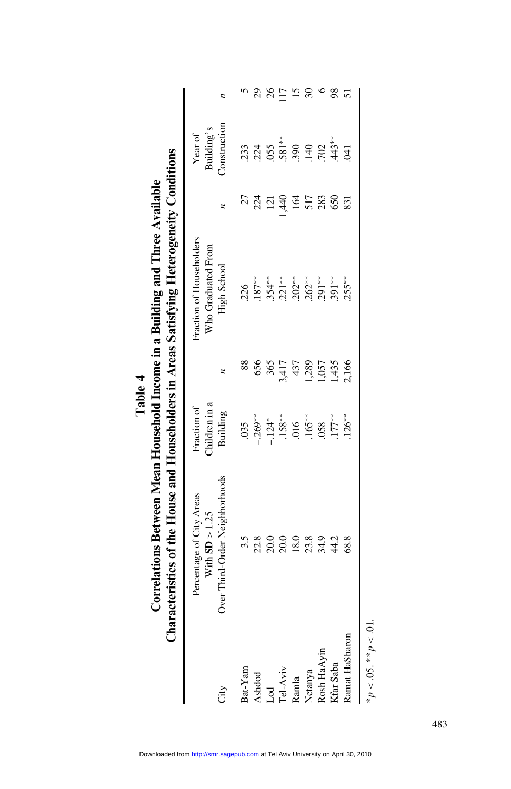|                 |                                                                                |                                           |       | Characteristics of the House and Householders in Areas Satisfying Heterogeneity Conditions |                  |                                       |                 |
|-----------------|--------------------------------------------------------------------------------|-------------------------------------------|-------|--------------------------------------------------------------------------------------------|------------------|---------------------------------------|-----------------|
| Ğiy             | Over Third-Order Neighborhoods<br>Percentage of City Areas<br>With $SD > 1.25$ | Children in a<br>Fraction of<br>Building  |       | Fraction of Householders<br>Who Graduated From<br>High School                              |                  | Construction<br>Building's<br>Year of |                 |
| Bat-Yam         |                                                                                | .035                                      | 88    | 226                                                                                        |                  | 233                                   |                 |
| Ashdod          | 22.8                                                                           | $.269**$                                  | 656   | $.187***$                                                                                  | 224              |                                       | 29              |
| $_{\text{Lod}}$ | 20.0                                                                           | $-.124*$                                  | 365   | $.354***$                                                                                  | 121              | 224                                   | 26              |
| Tel-Aviv        | 20.0                                                                           | $.158**$                                  | 8,417 |                                                                                            | $0$ <sup>+</sup> | $.581***$                             | $\overline{17}$ |
| Ramla           | 18.0                                                                           |                                           | 437   |                                                                                            | 164              |                                       | 15              |
| Netanya         | 23.8                                                                           | $\frac{016}{165}$<br>$\frac{0.05}{0.058}$ | 1,289 | $.221**$<br>$.202**$<br>$.262**$<br>$.261**$                                               | 517              | 39 F E                                |                 |
| Rosh HaAyin     | 34.9                                                                           |                                           | ,057  |                                                                                            | 283              |                                       |                 |
| Kfar Saba       | 44.2                                                                           | $.177**$                                  | 1,435 | $.391**$                                                                                   | 650              | $.443**$                              | 98              |
| Ramat HaSharon  | 68.8                                                                           | $.126**$                                  | 2,166 | $.255**$                                                                                   | 831              | .041                                  | 5               |
|                 |                                                                                |                                           |       |                                                                                            |                  |                                       |                 |

Table 4<br>Correlations Between Mean Household Income in a Building and Three Available Correlations Between Mean Household Income in a Building and Three Available

> $* p < .05. ** p < .01.$ \*  $p < 0.05$ . \*\* $p < 0.01$ .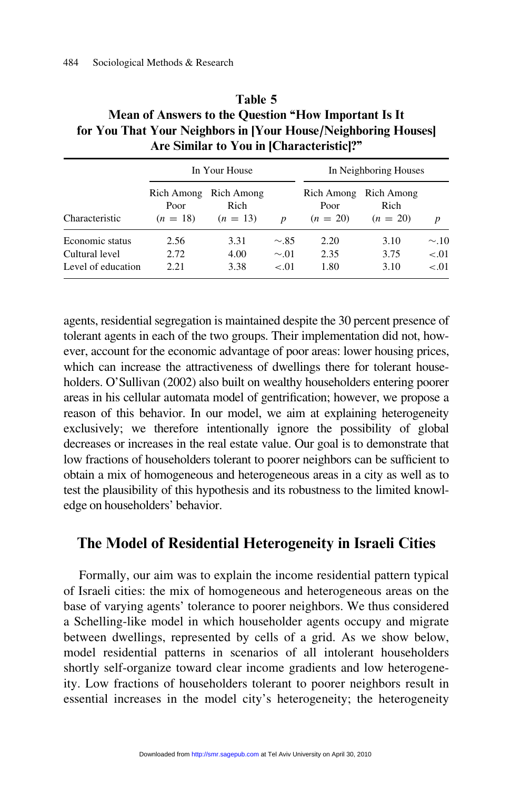|                    |                    | Are Shimar to You in [Characteristic].      |                  |                                  |                                  |                  |  |
|--------------------|--------------------|---------------------------------------------|------------------|----------------------------------|----------------------------------|------------------|--|
|                    |                    | In Your House                               |                  | In Neighboring Houses            |                                  |                  |  |
| Characteristic     | Poor<br>$(n = 18)$ | Rich Among Rich Among<br>Rich<br>$(n = 13)$ | $\boldsymbol{p}$ | Rich Among<br>Poor<br>$(n = 20)$ | Rich Among<br>Rich<br>$(n = 20)$ | $\boldsymbol{p}$ |  |
| Economic status    | 2.56               | 3.31                                        | $\sim$ .85       | 2.20                             | 3.10                             | $\sim$ .10       |  |
| Cultural level     | 2.72               | 4.00                                        | $\sim$ .01       | 2.35                             | 3.75                             | < 0.01           |  |
| Level of education | 2.21               | 3.38                                        | < 0.01           | 1.80                             | 3.10                             | $-.01$           |  |

# Table 5 Mean of Answers to the Question ''How Important Is It for You That Your Neighbors in [Your House/Neighboring Houses] Are Similar to Vou in [Characteristic]?"

agents, residential segregation is maintained despite the 30 percent presence of tolerant agents in each of the two groups. Their implementation did not, however, account for the economic advantage of poor areas: lower housing prices, which can increase the attractiveness of dwellings there for tolerant householders. O'Sullivan (2002) also built on wealthy householders entering poorer areas in his cellular automata model of gentrification; however, we propose a reason of this behavior. In our model, we aim at explaining heterogeneity exclusively; we therefore intentionally ignore the possibility of global decreases or increases in the real estate value. Our goal is to demonstrate that low fractions of householders tolerant to poorer neighbors can be sufficient to obtain a mix of homogeneous and heterogeneous areas in a city as well as to test the plausibility of this hypothesis and its robustness to the limited knowledge on householders' behavior.

# The Model of Residential Heterogeneity in Israeli Cities

Formally, our aim was to explain the income residential pattern typical of Israeli cities: the mix of homogeneous and heterogeneous areas on the base of varying agents' tolerance to poorer neighbors. We thus considered a Schelling-like model in which householder agents occupy and migrate between dwellings, represented by cells of a grid. As we show below, model residential patterns in scenarios of all intolerant householders shortly self-organize toward clear income gradients and low heterogeneity. Low fractions of householders tolerant to poorer neighbors result in essential increases in the model city's heterogeneity; the heterogeneity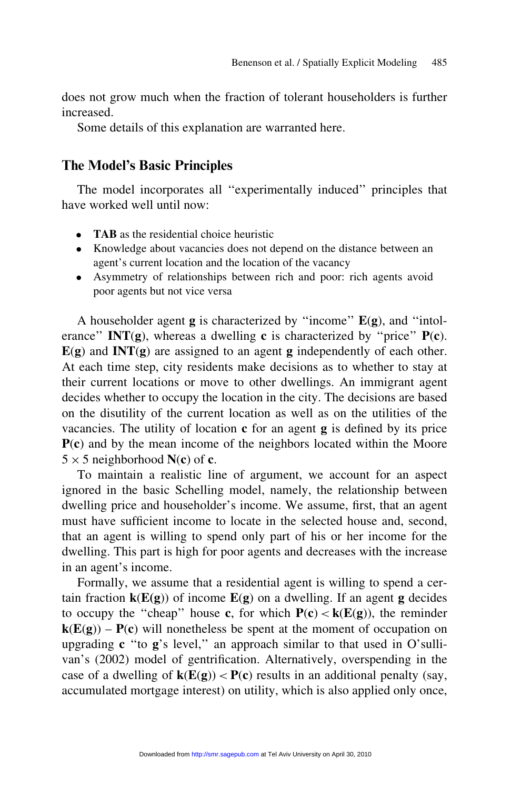does not grow much when the fraction of tolerant householders is further increased.

Some details of this explanation are warranted here.

# The Model's Basic Principles

The model incorporates all ''experimentally induced'' principles that have worked well until now:

- **TAB** as the residential choice heuristic
- Knowledge about vacancies does not depend on the distance between an agent's current location and the location of the vacancy
- Asymmetry of relationships between rich and poor: rich agents avoid poor agents but not vice versa

A householder agent **g** is characterized by "income"  $E(g)$ , and "intolerance" INT(g), whereas a dwelling c is characterized by "price"  $P(c)$ .  $E(g)$  and INT(g) are assigned to an agent g independently of each other. At each time step, city residents make decisions as to whether to stay at their current locations or move to other dwellings. An immigrant agent decides whether to occupy the location in the city. The decisions are based on the disutility of the current location as well as on the utilities of the vacancies. The utility of location c for an agent g is defined by its price P(c) and by the mean income of the neighbors located within the Moore  $5 \times 5$  neighborhood N(c) of c.

To maintain a realistic line of argument, we account for an aspect ignored in the basic Schelling model, namely, the relationship between dwelling price and householder's income. We assume, first, that an agent must have sufficient income to locate in the selected house and, second, that an agent is willing to spend only part of his or her income for the dwelling. This part is high for poor agents and decreases with the increase in an agent's income.

Formally, we assume that a residential agent is willing to spend a certain fraction  $k(E(g))$  of income  $E(g)$  on a dwelling. If an agent g decides to occupy the "cheap" house c, for which  $P(c) < k(E(g))$ , the reminder  $k(E(g)) - P(c)$  will nonetheless be spent at the moment of occupation on upgrading c ''to g's level,'' an approach similar to that used in O'sullivan's (2002) model of gentrification. Alternatively, overspending in the case of a dwelling of  $k(E(g)) < P(c)$  results in an additional penalty (say, accumulated mortgage interest) on utility, which is also applied only once,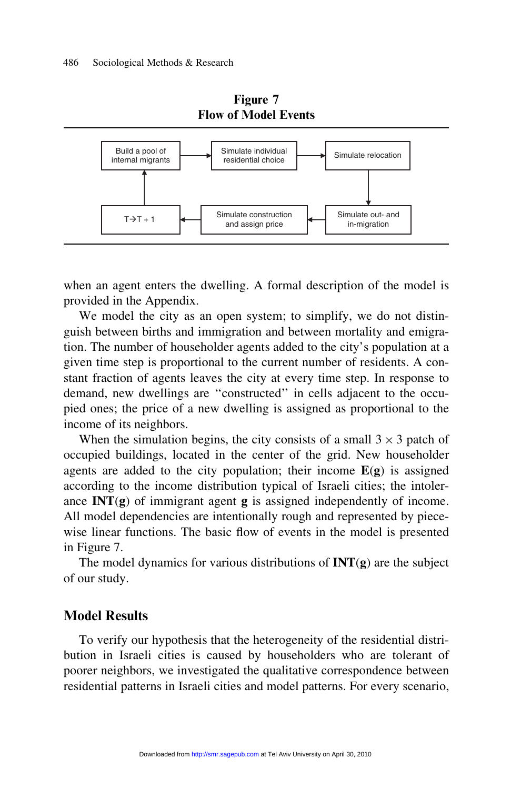

Figure 7 Flow of Model Events

when an agent enters the dwelling. A formal description of the model is provided in the Appendix.

We model the city as an open system; to simplify, we do not distinguish between births and immigration and between mortality and emigration. The number of householder agents added to the city's population at a given time step is proportional to the current number of residents. A constant fraction of agents leaves the city at every time step. In response to demand, new dwellings are ''constructed'' in cells adjacent to the occupied ones; the price of a new dwelling is assigned as proportional to the income of its neighbors.

When the simulation begins, the city consists of a small  $3 \times 3$  patch of occupied buildings, located in the center of the grid. New householder agents are added to the city population; their income  $E(g)$  is assigned according to the income distribution typical of Israeli cities; the intolerance  $INT(g)$  of immigrant agent g is assigned independently of income. All model dependencies are intentionally rough and represented by piecewise linear functions. The basic flow of events in the model is presented in Figure 7.

The model dynamics for various distributions of  $INT(g)$  are the subject of our study.

#### Model Results

To verify our hypothesis that the heterogeneity of the residential distribution in Israeli cities is caused by householders who are tolerant of poorer neighbors, we investigated the qualitative correspondence between residential patterns in Israeli cities and model patterns. For every scenario,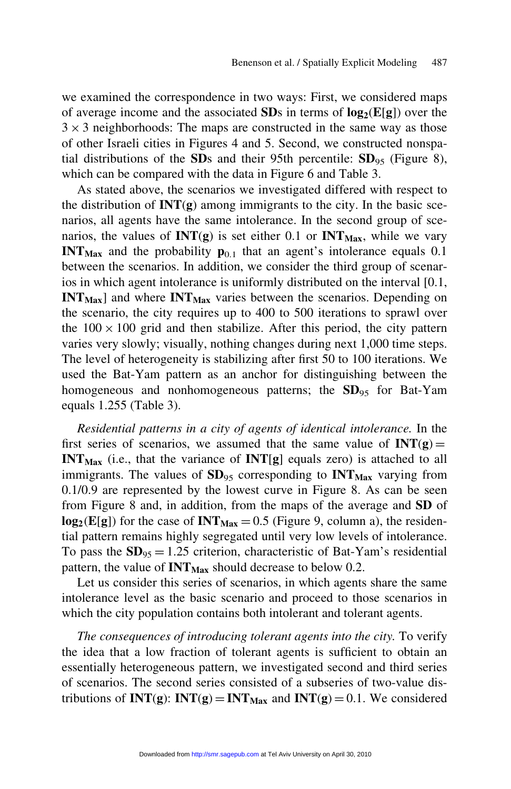we examined the correspondence in two ways: First, we considered maps of average income and the associated SDs in terms of  $log_2(E[g])$  over the  $3 \times 3$  neighborhoods: The maps are constructed in the same way as those of other Israeli cities in Figures 4 and 5. Second, we constructed nonspatial distributions of the SDs and their 95th percentile:  $SD_{95}$  (Figure 8), which can be compared with the data in Figure 6 and Table 3.

As stated above, the scenarios we investigated differed with respect to the distribution of  $INT(g)$  among immigrants to the city. In the basic scenarios, all agents have the same intolerance. In the second group of scenarios, the values of  $INT(g)$  is set either 0.1 or  $INT_{Max}$ , while we vary INT<sub>Max</sub> and the probability  $p_{0,1}$  that an agent's intolerance equals 0.1 between the scenarios. In addition, we consider the third group of scenarios in which agent intolerance is uniformly distributed on the interval [0.1,  $INT_{Max}$ ] and where  $INT_{Max}$  varies between the scenarios. Depending on the scenario, the city requires up to 400 to 500 iterations to sprawl over the  $100 \times 100$  grid and then stabilize. After this period, the city pattern varies very slowly; visually, nothing changes during next 1,000 time steps. The level of heterogeneity is stabilizing after first 50 to 100 iterations. We used the Bat-Yam pattern as an anchor for distinguishing between the homogeneous and nonhomogeneous patterns; the  $SD_{95}$  for Bat-Yam equals 1.255 (Table 3).

Residential patterns in a city of agents of identical intolerance. In the first series of scenarios, we assumed that the same value of  $INT(g) =$  $INT_{Max}$  (i.e., that the variance of  $INT[g]$  equals zero) is attached to all immigrants. The values of  $SD_{95}$  corresponding to  $INT_{Max}$  varying from 0.1/0.9 are represented by the lowest curve in Figure 8. As can be seen from Figure 8 and, in addition, from the maps of the average and SD of  $log_2(E[g])$  for the case of  $INT_{Max} = 0.5$  (Figure 9, column a), the residential pattern remains highly segregated until very low levels of intolerance. To pass the  $SD_{95} = 1.25$  criterion, characteristic of Bat-Yam's residential pattern, the value of  $INT_{Max}$  should decrease to below 0.2.

Let us consider this series of scenarios, in which agents share the same intolerance level as the basic scenario and proceed to those scenarios in which the city population contains both intolerant and tolerant agents.

The consequences of introducing tolerant agents into the city. To verify the idea that a low fraction of tolerant agents is sufficient to obtain an essentially heterogeneous pattern, we investigated second and third series of scenarios. The second series consisted of a subseries of two-value distributions of  $INT(g)$ :  $INT(g) = INT<sub>Max</sub>$  and  $INT(g) = 0.1$ . We considered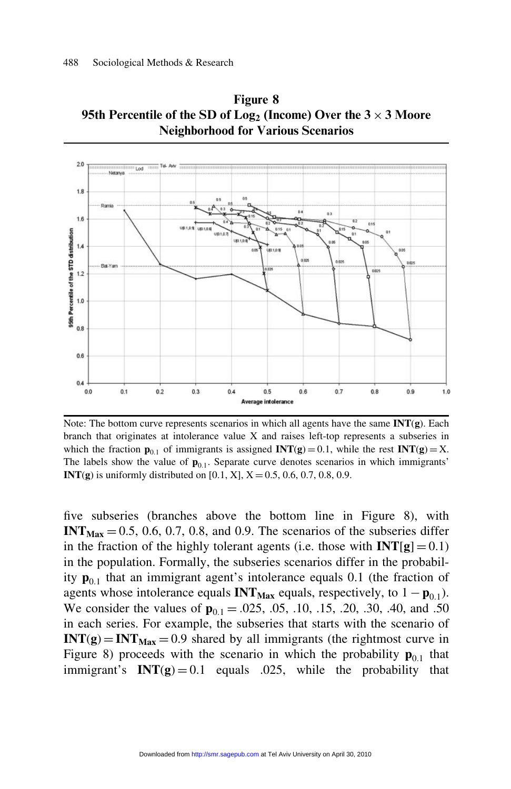



Note: The bottom curve represents scenarios in which all agents have the same  $INT(g)$ . Each branch that originates at intolerance value X and raises left-top represents a subseries in which the fraction  $\mathbf{p}_{0,1}$  of immigrants is assigned  $\mathbf{INT}(\mathbf{g}) = 0.1$ , while the rest  $\mathbf{INT}(\mathbf{g}) = \mathbf{X}$ . The labels show the value of  $\mathbf{p}_{0,1}$ . Separate curve denotes scenarios in which immigrants' **INT(g)** is uniformly distributed on [0.1, X],  $X = 0.5, 0.6, 0.7, 0.8, 0.9$ .

five subseries (branches above the bottom line in Figure 8), with  $INT_{Max} = 0.5, 0.6, 0.7, 0.8,$  and 0.9. The scenarios of the subseries differ in the fraction of the highly tolerant agents (i.e. those with  $INT[g] = 0.1$ ) in the population. Formally, the subseries scenarios differ in the probability  $p_{0,1}$  that an immigrant agent's intolerance equals 0.1 (the fraction of agents whose intolerance equals INT<sub>Max</sub> equals, respectively, to  $1 - p_{0,1}$ ). We consider the values of  $\mathbf{p}_{0.1} = .025, .05, .10, .15, .20, .30, .40,$  and .50 in each series. For example, the subseries that starts with the scenario of  $INT(g) = INT_{Max} = 0.9$  shared by all immigrants (the rightmost curve in Figure 8) proceeds with the scenario in which the probability  $\mathbf{p}_{0,1}$  that immigrant's  $INT(g) = 0.1$  equals .025, while the probability that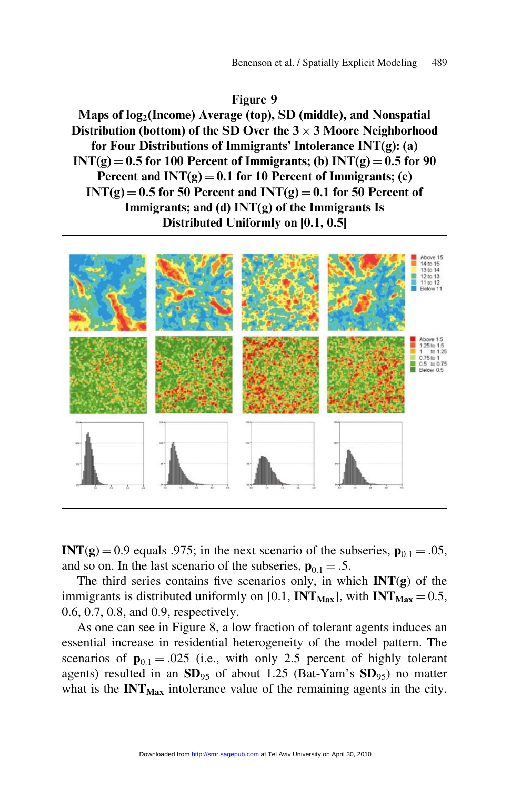#### Figure 9

Maps of log<sub>2</sub>(Income) Average (top), SD (middle), and Nonspatial Distribution (bottom) of the SD Over the  $3 \times 3$  Moore Neighborhood for Four Distributions of Immigrants' Intolerance INT(g): (a)  $INT(g) = 0.5$  for 100 Percent of Immigrants; (b)  $INT(g) = 0.5$  for 90 Percent and  $INT(g) = 0.1$  for 10 Percent of Immigrants; (c)  $INT(g) = 0.5$  for 50 Percent and  $INT(g) = 0.1$  for 50 Percent of Immigrants; and (d)  $INT(g)$  of the Immigrants Is Distributed Uniformly on [0.1, 0.5]



INT(g) = 0.9 equals .975; in the next scenario of the subseries,  $\mathbf{p}_{0.1} = .05$ , and so on. In the last scenario of the subseries,  $\mathbf{p}_{0,1} = .5$ .

The third series contains five scenarios only, in which  $INT(g)$  of the immigrants is distributed uniformly on [0.1,  $\text{INT}_{\text{Max}}$ ], with  $\text{INT}_{\text{Max}} = 0.5$ , 0.6, 0.7, 0.8, and 0.9, respectively.

As one can see in Figure 8, a low fraction of tolerant agents induces an essential increase in residential heterogeneity of the model pattern. The scenarios of  $\mathbf{p}_{0,1} = .025$  (i.e., with only 2.5 percent of highly tolerant agents) resulted in an  $SD_{95}$  of about 1.25 (Bat-Yam's  $SD_{95}$ ) no matter what is the  $INT_{Max}$  intolerance value of the remaining agents in the city.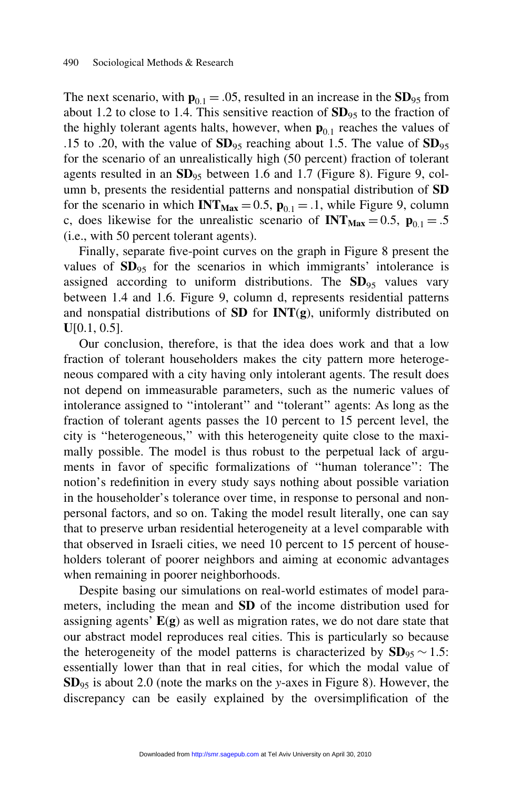The next scenario, with  $\mathbf{p}_{0,1} = .05$ , resulted in an increase in the  $SD_{95}$  from about 1.2 to close to 1.4. This sensitive reaction of  $SD_{95}$  to the fraction of the highly tolerant agents halts, however, when  $p_{0,1}$  reaches the values of .15 to .20, with the value of  $SD_{95}$  reaching about 1.5. The value of  $SD_{95}$ for the scenario of an unrealistically high (50 percent) fraction of tolerant agents resulted in an  $SD_{95}$  between 1.6 and 1.7 (Figure 8). Figure 9, column b, presents the residential patterns and nonspatial distribution of SD for the scenario in which  $\text{INT}_{\text{Max}} = 0.5$ ,  $\mathbf{p}_{0.1} = .1$ , while Figure 9, column c, does likewise for the unrealistic scenario of  $\text{INT}_{\text{Max}} = 0.5$ ,  $\mathbf{p}_{0.1} = .5$ (i.e., with 50 percent tolerant agents).

Finally, separate five-point curves on the graph in Figure 8 present the values of  $SD_{95}$  for the scenarios in which immigrants' intolerance is assigned according to uniform distributions. The  $SD_{95}$  values vary between 1.4 and 1.6. Figure 9, column d, represents residential patterns and nonspatial distributions of  $SD$  for  $INT(g)$ , uniformly distributed on U[0.1, 0.5].

Our conclusion, therefore, is that the idea does work and that a low fraction of tolerant householders makes the city pattern more heterogeneous compared with a city having only intolerant agents. The result does not depend on immeasurable parameters, such as the numeric values of intolerance assigned to ''intolerant'' and ''tolerant'' agents: As long as the fraction of tolerant agents passes the 10 percent to 15 percent level, the city is ''heterogeneous,'' with this heterogeneity quite close to the maximally possible. The model is thus robust to the perpetual lack of arguments in favor of specific formalizations of ''human tolerance'': The notion's redefinition in every study says nothing about possible variation in the householder's tolerance over time, in response to personal and nonpersonal factors, and so on. Taking the model result literally, one can say that to preserve urban residential heterogeneity at a level comparable with that observed in Israeli cities, we need 10 percent to 15 percent of householders tolerant of poorer neighbors and aiming at economic advantages when remaining in poorer neighborhoods.

Despite basing our simulations on real-world estimates of model parameters, including the mean and SD of the income distribution used for assigning agents'  $E(g)$  as well as migration rates, we do not dare state that our abstract model reproduces real cities. This is particularly so because the heterogeneity of the model patterns is characterized by  $SD_{95} \sim 1.5$ : essentially lower than that in real cities, for which the modal value of  $SD_{95}$  is about 2.0 (note the marks on the y-axes in Figure 8). However, the discrepancy can be easily explained by the oversimplification of the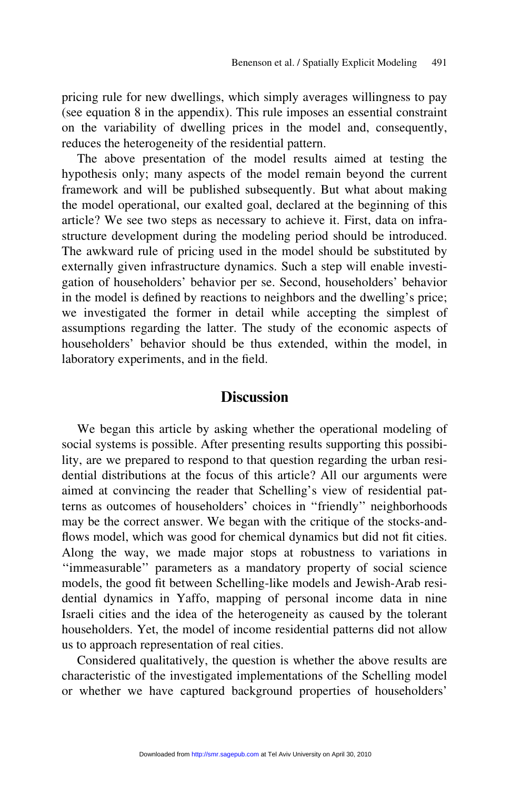pricing rule for new dwellings, which simply averages willingness to pay (see equation 8 in the appendix). This rule imposes an essential constraint on the variability of dwelling prices in the model and, consequently, reduces the heterogeneity of the residential pattern.

The above presentation of the model results aimed at testing the hypothesis only; many aspects of the model remain beyond the current framework and will be published subsequently. But what about making the model operational, our exalted goal, declared at the beginning of this article? We see two steps as necessary to achieve it. First, data on infrastructure development during the modeling period should be introduced. The awkward rule of pricing used in the model should be substituted by externally given infrastructure dynamics. Such a step will enable investigation of householders' behavior per se. Second, householders' behavior in the model is defined by reactions to neighbors and the dwelling's price; we investigated the former in detail while accepting the simplest of assumptions regarding the latter. The study of the economic aspects of householders' behavior should be thus extended, within the model, in laboratory experiments, and in the field.

# **Discussion**

We began this article by asking whether the operational modeling of social systems is possible. After presenting results supporting this possibility, are we prepared to respond to that question regarding the urban residential distributions at the focus of this article? All our arguments were aimed at convincing the reader that Schelling's view of residential patterns as outcomes of householders' choices in ''friendly'' neighborhoods may be the correct answer. We began with the critique of the stocks-andflows model, which was good for chemical dynamics but did not fit cities. Along the way, we made major stops at robustness to variations in ''immeasurable'' parameters as a mandatory property of social science models, the good fit between Schelling-like models and Jewish-Arab residential dynamics in Yaffo, mapping of personal income data in nine Israeli cities and the idea of the heterogeneity as caused by the tolerant householders. Yet, the model of income residential patterns did not allow us to approach representation of real cities.

Considered qualitatively, the question is whether the above results are characteristic of the investigated implementations of the Schelling model or whether we have captured background properties of householders'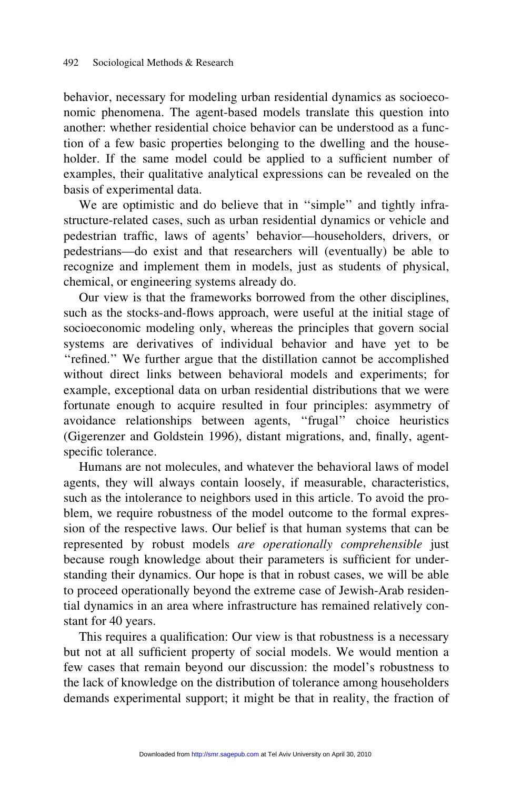behavior, necessary for modeling urban residential dynamics as socioeconomic phenomena. The agent-based models translate this question into another: whether residential choice behavior can be understood as a function of a few basic properties belonging to the dwelling and the householder. If the same model could be applied to a sufficient number of examples, their qualitative analytical expressions can be revealed on the basis of experimental data.

We are optimistic and do believe that in ''simple'' and tightly infrastructure-related cases, such as urban residential dynamics or vehicle and pedestrian traffic, laws of agents' behavior—householders, drivers, or pedestrians—do exist and that researchers will (eventually) be able to recognize and implement them in models, just as students of physical, chemical, or engineering systems already do.

Our view is that the frameworks borrowed from the other disciplines, such as the stocks-and-flows approach, were useful at the initial stage of socioeconomic modeling only, whereas the principles that govern social systems are derivatives of individual behavior and have yet to be "refined." We further argue that the distillation cannot be accomplished without direct links between behavioral models and experiments; for example, exceptional data on urban residential distributions that we were fortunate enough to acquire resulted in four principles: asymmetry of avoidance relationships between agents, ''frugal'' choice heuristics (Gigerenzer and Goldstein 1996), distant migrations, and, finally, agentspecific tolerance.

Humans are not molecules, and whatever the behavioral laws of model agents, they will always contain loosely, if measurable, characteristics, such as the intolerance to neighbors used in this article. To avoid the problem, we require robustness of the model outcome to the formal expression of the respective laws. Our belief is that human systems that can be represented by robust models are operationally comprehensible just because rough knowledge about their parameters is sufficient for understanding their dynamics. Our hope is that in robust cases, we will be able to proceed operationally beyond the extreme case of Jewish-Arab residential dynamics in an area where infrastructure has remained relatively constant for 40 years.

This requires a qualification: Our view is that robustness is a necessary but not at all sufficient property of social models. We would mention a few cases that remain beyond our discussion: the model's robustness to the lack of knowledge on the distribution of tolerance among householders demands experimental support; it might be that in reality, the fraction of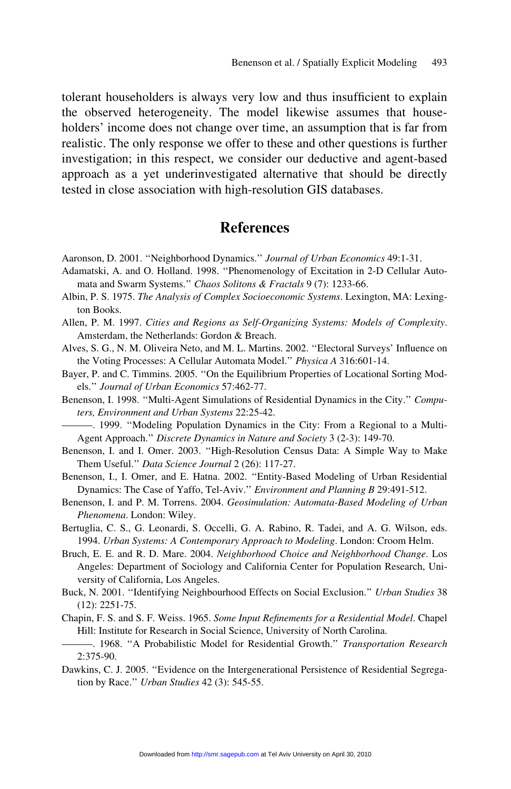tolerant householders is always very low and thus insufficient to explain the observed heterogeneity. The model likewise assumes that householders' income does not change over time, an assumption that is far from realistic. The only response we offer to these and other questions is further investigation; in this respect, we consider our deductive and agent-based approach as a yet underinvestigated alternative that should be directly tested in close association with high-resolution GIS databases.

# **References**

- Aaronson, D. 2001. ''Neighborhood Dynamics.'' Journal of Urban Economics 49:1-31.
- Adamatski, A. and O. Holland. 1998. ''Phenomenology of Excitation in 2-D Cellular Automata and Swarm Systems." Chaos Solitons & Fractals 9 (7): 1233-66.
- Albin, P. S. 1975. The Analysis of Complex Socioeconomic Systems. Lexington, MA: Lexington Books.
- Allen, P. M. 1997. Cities and Regions as Self-Organizing Systems: Models of Complexity. Amsterdam, the Netherlands: Gordon & Breach.

Alves, S. G., N. M. Oliveira Neto, and M. L. Martins. 2002. ''Electoral Surveys' Influence on the Voting Processes: A Cellular Automata Model.'' Physica A 316:601-14.

- Bayer, P. and C. Timmins. 2005. ''On the Equilibrium Properties of Locational Sorting Models.'' Journal of Urban Economics 57:462-77.
- Benenson, I. 1998. ''Multi-Agent Simulations of Residential Dynamics in the City.'' Computers, Environment and Urban Systems 22:25-42.
- ———. 1999. ''Modeling Population Dynamics in the City: From a Regional to a Multi-Agent Approach.'' Discrete Dynamics in Nature and Society 3 (2-3): 149-70.
- Benenson, I. and I. Omer. 2003. ''High-Resolution Census Data: A Simple Way to Make Them Useful.'' Data Science Journal 2 (26): 117-27.
- Benenson, I., I. Omer, and E. Hatna. 2002. ''Entity-Based Modeling of Urban Residential Dynamics: The Case of Yaffo, Tel-Aviv.'' Environment and Planning B 29:491-512.
- Benenson, I. and P. M. Torrens. 2004. Geosimulation: Automata-Based Modeling of Urban Phenomena. London: Wiley.
- Bertuglia, C. S., G. Leonardi, S. Occelli, G. A. Rabino, R. Tadei, and A. G. Wilson, eds. 1994. Urban Systems: A Contemporary Approach to Modeling. London: Croom Helm.
- Bruch, E. E. and R. D. Mare. 2004. Neighborhood Choice and Neighborhood Change. Los Angeles: Department of Sociology and California Center for Population Research, University of California, Los Angeles.
- Buck, N. 2001. ''Identifying Neighbourhood Effects on Social Exclusion.'' Urban Studies 38 (12): 2251-75.
- Chapin, F. S. and S. F. Weiss. 1965. Some Input Refinements for a Residential Model. Chapel Hill: Institute for Research in Social Science, University of North Carolina.
- ———. 1968. ''A Probabilistic Model for Residential Growth.'' Transportation Research 2:375-90.
- Dawkins, C. J. 2005. ''Evidence on the Intergenerational Persistence of Residential Segregation by Race.'' Urban Studies 42 (3): 545-55.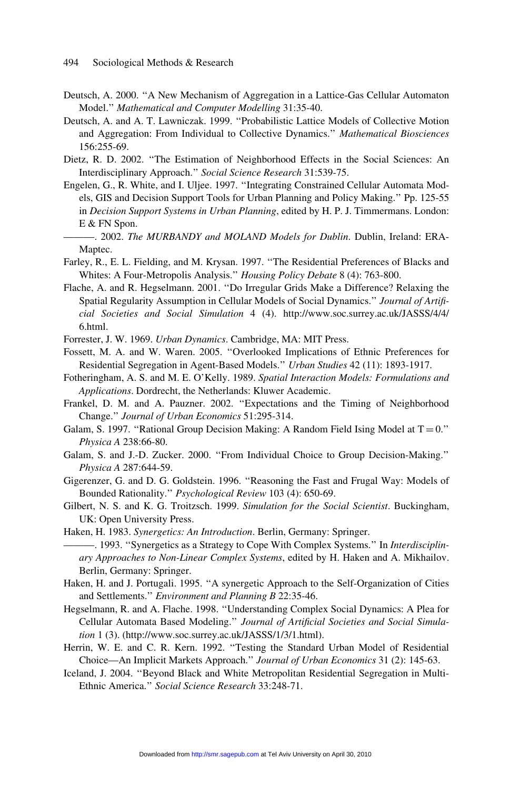- Deutsch, A. 2000. ''A New Mechanism of Aggregation in a Lattice-Gas Cellular Automaton Model.'' Mathematical and Computer Modelling 31:35-40.
- Deutsch, A. and A. T. Lawniczak. 1999. ''Probabilistic Lattice Models of Collective Motion and Aggregation: From Individual to Collective Dynamics.'' Mathematical Biosciences 156:255-69.
- Dietz, R. D. 2002. ''The Estimation of Neighborhood Effects in the Social Sciences: An Interdisciplinary Approach.'' Social Science Research 31:539-75.
- Engelen, G., R. White, and I. Uljee. 1997. ''Integrating Constrained Cellular Automata Models, GIS and Decision Support Tools for Urban Planning and Policy Making.'' Pp. 125-55 in Decision Support Systems in Urban Planning, edited by H. P. J. Timmermans. London: E & FN Spon.
- —–. 2002. The MURBANDY and MOLAND Models for Dublin. Dublin, Ireland: ERA-Maptec.
- Farley, R., E. L. Fielding, and M. Krysan. 1997. ''The Residential Preferences of Blacks and Whites: A Four-Metropolis Analysis.'' Housing Policy Debate 8 (4): 763-800.
- Flache, A. and R. Hegselmann. 2001. ''Do Irregular Grids Make a Difference? Relaxing the Spatial Regularity Assumption in Cellular Models of Social Dynamics.'' Journal of Artificial Societies and Social Simulation 4 (4). http://www.soc.surrey.ac.uk/JASSS/4/4/ 6.html.
- Forrester, J. W. 1969. Urban Dynamics. Cambridge, MA: MIT Press.
- Fossett, M. A. and W. Waren. 2005. ''Overlooked Implications of Ethnic Preferences for Residential Segregation in Agent-Based Models.'' Urban Studies 42 (11): 1893-1917.
- Fotheringham, A. S. and M. E. O'Kelly. 1989. Spatial Interaction Models: Formulations and Applications. Dordrecht, the Netherlands: Kluwer Academic.
- Frankel, D. M. and A. Pauzner. 2002. ''Expectations and the Timing of Neighborhood Change.'' Journal of Urban Economics 51:295-314.
- Galam, S. 1997. "Rational Group Decision Making: A Random Field Ising Model at  $T = 0$ ." Physica A 238:66-80.
- Galam, S. and J.-D. Zucker. 2000. ''From Individual Choice to Group Decision-Making.'' Physica A 287:644-59.
- Gigerenzer, G. and D. G. Goldstein. 1996. ''Reasoning the Fast and Frugal Way: Models of Bounded Rationality.'' Psychological Review 103 (4): 650-69.
- Gilbert, N. S. and K. G. Troitzsch. 1999. Simulation for the Social Scientist. Buckingham, UK: Open University Press.
- Haken, H. 1983. Synergetics: An Introduction. Berlin, Germany: Springer.
- 1993. "Synergetics as a Strategy to Cope With Complex Systems." In Interdisciplinary Approaches to Non-Linear Complex Systems, edited by H. Haken and A. Mikhailov. Berlin, Germany: Springer.
- Haken, H. and J. Portugali. 1995. ''A synergetic Approach to the Self-Organization of Cities and Settlements.'' Environment and Planning B 22:35-46.
- Hegselmann, R. and A. Flache. 1998. ''Understanding Complex Social Dynamics: A Plea for Cellular Automata Based Modeling.'' Journal of Artificial Societies and Social Simulation 1 (3). (http://www.soc.surrey.ac.uk/JASSS/1/3/1.html).
- Herrin, W. E. and C. R. Kern. 1992. ''Testing the Standard Urban Model of Residential Choice—An Implicit Markets Approach.'' Journal of Urban Economics 31 (2): 145-63.
- Iceland, J. 2004. ''Beyond Black and White Metropolitan Residential Segregation in Multi-Ethnic America.'' Social Science Research 33:248-71.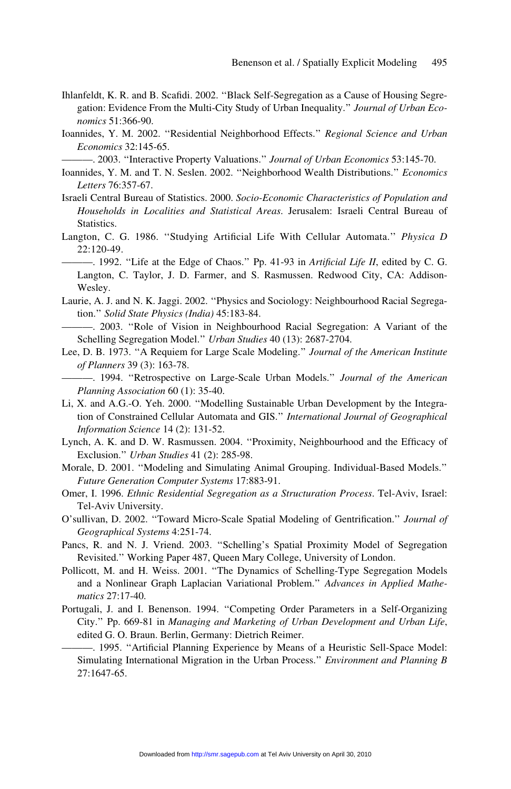- Ihlanfeldt, K. R. and B. Scafidi. 2002. ''Black Self-Segregation as a Cause of Housing Segregation: Evidence From the Multi-City Study of Urban Inequality.'' Journal of Urban Economics 51:366-90.
- Ioannides, Y. M. 2002. ''Residential Neighborhood Effects.'' Regional Science and Urban Economics 32:145-65.

- 2003. "Interactive Property Valuations." Journal of Urban Economics 53:145-70.

- Ioannides, Y. M. and T. N. Seslen. 2002. ''Neighborhood Wealth Distributions.'' Economics Letters 76:357-67.
- Israeli Central Bureau of Statistics. 2000. Socio-Economic Characteristics of Population and Households in Localities and Statistical Areas. Jerusalem: Israeli Central Bureau of Statistics.
- Langton, C. G. 1986. ''Studying Artificial Life With Cellular Automata.'' Physica D 22:120-49.
- -. 1992. "Life at the Edge of Chaos." Pp. 41-93 in Artificial Life II, edited by C. G. Langton, C. Taylor, J. D. Farmer, and S. Rasmussen. Redwood City, CA: Addison-Wesley.
- Laurie, A. J. and N. K. Jaggi. 2002. ''Physics and Sociology: Neighbourhood Racial Segregation.'' Solid State Physics (India) 45:183-84.
- ———. 2003. ''Role of Vision in Neighbourhood Racial Segregation: A Variant of the Schelling Segregation Model.'' Urban Studies 40 (13): 2687-2704.
- Lee, D. B. 1973. ''A Requiem for Large Scale Modeling.'' Journal of the American Institute of Planners 39 (3): 163-78.
	- ———. 1994. ''Retrospective on Large-Scale Urban Models.'' Journal of the American Planning Association 60 (1): 35-40.
- Li, X. and A.G.-O. Yeh. 2000. ''Modelling Sustainable Urban Development by the Integration of Constrained Cellular Automata and GIS.'' International Journal of Geographical Information Science 14 (2): 131-52.
- Lynch, A. K. and D. W. Rasmussen. 2004. ''Proximity, Neighbourhood and the Efficacy of Exclusion.'' Urban Studies 41 (2): 285-98.
- Morale, D. 2001. ''Modeling and Simulating Animal Grouping. Individual-Based Models.'' Future Generation Computer Systems 17:883-91.
- Omer, I. 1996. Ethnic Residential Segregation as a Structuration Process. Tel-Aviv, Israel: Tel-Aviv University.
- O'sullivan, D. 2002. ''Toward Micro-Scale Spatial Modeling of Gentrification.'' Journal of Geographical Systems 4:251-74.
- Pancs, R. and N. J. Vriend. 2003. ''Schelling's Spatial Proximity Model of Segregation Revisited.'' Working Paper 487, Queen Mary College, University of London.
- Pollicott, M. and H. Weiss. 2001. ''The Dynamics of Schelling-Type Segregation Models and a Nonlinear Graph Laplacian Variational Problem.'' Advances in Applied Mathematics 27:17-40.
- Portugali, J. and I. Benenson. 1994. ''Competing Order Parameters in a Self-Organizing City.'' Pp. 669-81 in Managing and Marketing of Urban Development and Urban Life, edited G. O. Braun. Berlin, Germany: Dietrich Reimer.
- ———. 1995. ''Artificial Planning Experience by Means of a Heuristic Sell-Space Model: Simulating International Migration in the Urban Process.'' Environment and Planning B 27:1647-65.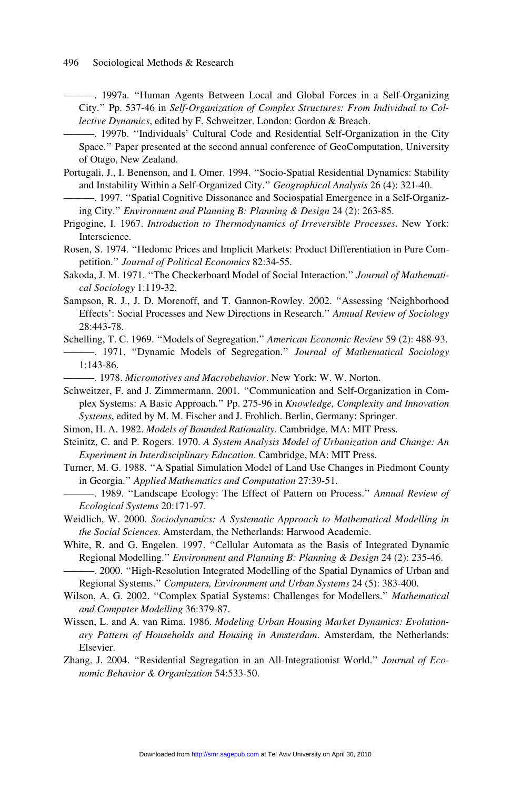———. 1997a. ''Human Agents Between Local and Global Forces in a Self-Organizing City.'' Pp. 537-46 in Self-Organization of Complex Structures: From Individual to Collective Dynamics, edited by F. Schweitzer. London: Gordon & Breach.

———. 1997b. ''Individuals' Cultural Code and Residential Self-Organization in the City Space.'' Paper presented at the second annual conference of GeoComputation, University of Otago, New Zealand.

Portugali, J., I. Benenson, and I. Omer. 1994. ''Socio-Spatial Residential Dynamics: Stability and Instability Within a Self-Organized City.'' Geographical Analysis 26 (4): 321-40.

———. 1997. ''Spatial Cognitive Dissonance and Sociospatial Emergence in a Self-Organizing City.'' Environment and Planning B: Planning & Design 24 (2): 263-85.

Prigogine, I. 1967. Introduction to Thermodynamics of Irreversible Processes. New York: Interscience.

Rosen, S. 1974. ''Hedonic Prices and Implicit Markets: Product Differentiation in Pure Competition.'' Journal of Political Economics 82:34-55.

Sakoda, J. M. 1971. ''The Checkerboard Model of Social Interaction.'' Journal of Mathematical Sociology 1:119-32.

Sampson, R. J., J. D. Morenoff, and T. Gannon-Rowley. 2002. ''Assessing 'Neighborhood Effects': Social Processes and New Directions in Research.'' Annual Review of Sociology 28:443-78.

Schelling, T. C. 1969. ''Models of Segregation.'' American Economic Review 59 (2): 488-93.

-. 1971. "Dynamic Models of Segregation." Journal of Mathematical Sociology 1:143-86.

- 1978. Micromotives and Macrobehavior. New York: W. W. Norton.

Schweitzer, F. and J. Zimmermann. 2001. ''Communication and Self-Organization in Complex Systems: A Basic Approach.'' Pp. 275-96 in Knowledge, Complexity and Innovation Systems, edited by M. M. Fischer and J. Frohlich. Berlin, Germany: Springer.

Simon, H. A. 1982. Models of Bounded Rationality. Cambridge, MA: MIT Press.

Steinitz, C. and P. Rogers. 1970. A System Analysis Model of Urbanization and Change: An Experiment in Interdisciplinary Education. Cambridge, MA: MIT Press.

Turner, M. G. 1988. ''A Spatial Simulation Model of Land Use Changes in Piedmont County in Georgia.'' Applied Mathematics and Computation 27:39-51.

-. 1989. "Landscape Ecology: The Effect of Pattern on Process." Annual Review of Ecological Systems 20:171-97.

Weidlich, W. 2000. Sociodynamics: A Systematic Approach to Mathematical Modelling in the Social Sciences. Amsterdam, the Netherlands: Harwood Academic.

White, R. and G. Engelen. 1997. ''Cellular Automata as the Basis of Integrated Dynamic Regional Modelling.'' Environment and Planning B: Planning & Design 24 (2): 235-46.

———. 2000. ''High-Resolution Integrated Modelling of the Spatial Dynamics of Urban and Regional Systems.'' Computers, Environment and Urban Systems 24 (5): 383-400.

Wilson, A. G. 2002. ''Complex Spatial Systems: Challenges for Modellers.'' Mathematical and Computer Modelling 36:379-87.

Wissen, L. and A. van Rima. 1986. Modeling Urban Housing Market Dynamics: Evolutionary Pattern of Households and Housing in Amsterdam. Amsterdam, the Netherlands: Elsevier.

Zhang, J. 2004. ''Residential Segregation in an All-Integrationist World.'' Journal of Economic Behavior & Organization 54:533-50.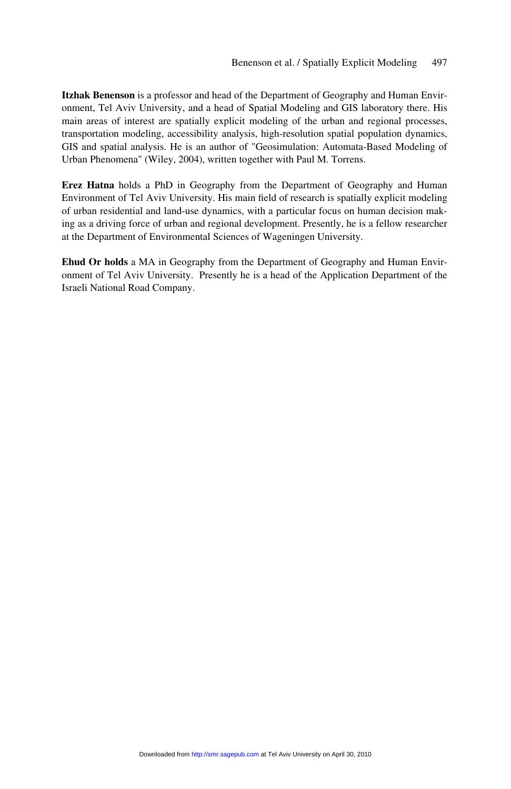Itzhak Benenson is a professor and head of the Department of Geography and Human Environment, Tel Aviv University, and a head of Spatial Modeling and GIS laboratory there. His main areas of interest are spatially explicit modeling of the urban and regional processes, transportation modeling, accessibility analysis, high-resolution spatial population dynamics, GIS and spatial analysis. He is an author of "Geosimulation: Automata-Based Modeling of Urban Phenomena" (Wiley, 2004), written together with Paul M. Torrens.

Erez Hatna holds a PhD in Geography from the Department of Geography and Human Environment of Tel Aviv University. His main field of research is spatially explicit modeling of urban residential and land-use dynamics, with a particular focus on human decision making as a driving force of urban and regional development. Presently, he is a fellow researcher at the Department of Environmental Sciences of Wageningen University.

Ehud Or holds a MA in Geography from the Department of Geography and Human Environment of Tel Aviv University. Presently he is a head of the Application Department of the Israeli National Road Company.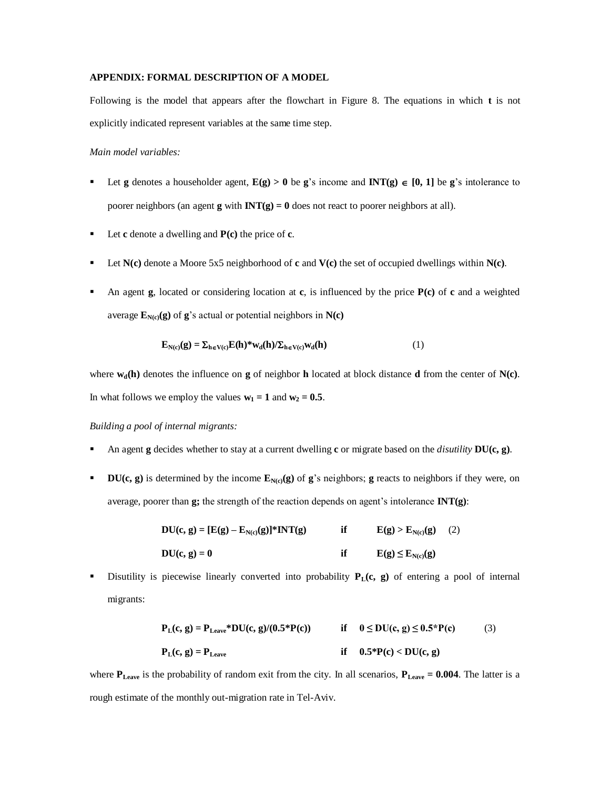# **APPENDIX: FORMAL DESCRIPTION OF A MODEL**

Following is the model that appears after the flowchart in Figure 8. The equations in which **t** is not explicitly indicated represent variables at the same time step.

#### *Main model variables:*

- Let **g** denotes a householder agent,  $\mathbf{E}(\mathbf{g}) > 0$  be **g**'s income and  $\mathbf{INT}(\mathbf{g}) \in [0, 1]$  be **g**'s intolerance to poorer neighbors (an agent **g** with  $\mathbf{INT}(\mathbf{g}) = \mathbf{0}$  does not react to poorer neighbors at all).
- Let **c** denote a dwelling and **P(c)** the price of **c**.
- Let **N(c)** denote a Moore 5x5 neighborhood of **c** and **V(c)** the set of occupied dwellings within **N(c)**.
- An agent **g**, located or considering location at **c**, is influenced by the price **P(c)** of **c** and a weighted average  $\mathbf{E}_{N(c)}(\mathbf{g})$  of  $\mathbf{g}'s$  actual or potential neighbors in  $N(c)$

$$
\mathbf{E}_{N(c)}(\mathbf{g}) = \Sigma_{\mathbf{h}\in V(c)}\mathbf{E}(\mathbf{h})^*w_d(\mathbf{h})/\Sigma_{\mathbf{h}\in V(c)}w_d(\mathbf{h})
$$
\n(1)

where  $w_d(h)$  denotes the influence on **g** of neighbor **h** located at block distance **d** from the center of  $N(c)$ . In what follows we employ the values  $w_1 = 1$  and  $w_2 = 0.5$ .

#### *Building a pool of internal migrants:*

- An agent **g** decides whether to stay at a current dwelling **c** or migrate based on the *disutility* **DU(c, g)**.
- **DU(c, g)** is determined by the income  $\mathbf{E}_{\text{N(c)}}(\mathbf{g})$  of **g**'s neighbors; **g** reacts to neighbors if they were, on average, poorer than **g;** the strength of the reaction depends on agent's intolerance **INT(g)**:

$$
DU(c, g) = [E(g) - E_{N(c)}(g)]^* INT(g)
$$
 if 
$$
E(g) > E_{N(c)}(g)
$$
 (2)  

$$
DU(c, g) = 0
$$
 if 
$$
E(g) \le E_{N(c)}(g)
$$

Disutility is piecewise linearly converted into probability  $P_L(c, g)$  of entering a pool of internal migrants:

$$
P_L(c, g) = P_{Leave} * DU(c, g)/(0.5 * P(c))
$$
 if  $0 \le DU(c, g) \le 0.5 * P(c)$  (3)  
 $P_L(c, g) = P_{Leave}$  if  $0.5 * P(c) < DU(c, g)$ 

where  $P_{\text{Leave}}$  is the probability of random exit from the city. In all scenarios,  $P_{\text{Leave}} = 0.004$ . The latter is a rough estimate of the monthly out-migration rate in Tel-Aviv.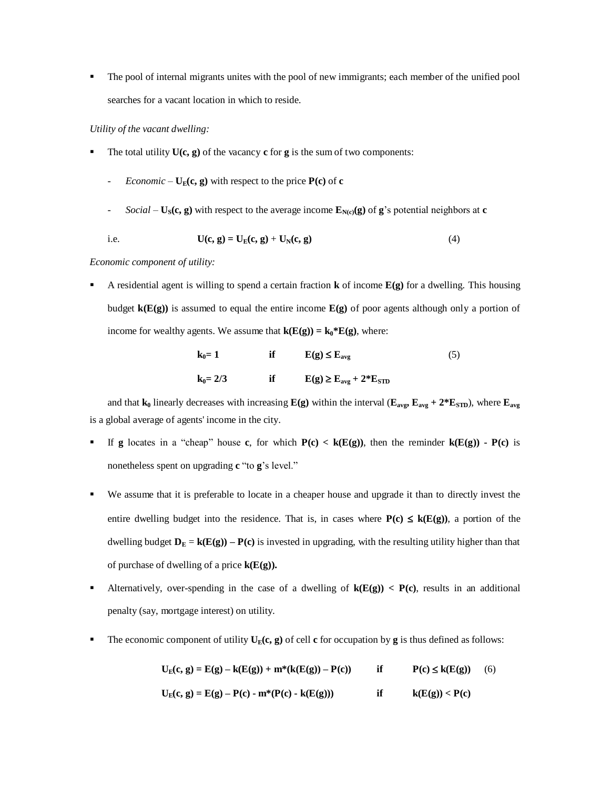The pool of internal migrants unites with the pool of new immigrants; each member of the unified pool searches for a vacant location in which to reside.

#### *Utility of the vacant dwelling:*

- The total utility **U(c, g)** of the vacancy **c** for **g** is the sum of two components:
	- *Economic*  $U_E(c, g)$  with respect to the price  $P(c)$  of c
	- *Social* **U<sub>S</sub>(c, g)** with respect to the average income  $\mathbf{E}_{N(c)}(g)$  of **g**'s potential neighbors at **c**

i.e. 
$$
\mathbf{U}(\mathbf{c}, \mathbf{g}) = \mathbf{U}_{\mathbf{E}}(\mathbf{c}, \mathbf{g}) + \mathbf{U}_{\mathbf{N}}(\mathbf{c}, \mathbf{g})
$$
(4)

# *Economic component of utility:*

 A residential agent is willing to spend a certain fraction **k** of income **E(g)** for a dwelling. This housing budget **k(E(g))** is assumed to equal the entire income **E(g)** of poor agents although only a portion of income for wealthy agents. We assume that  $\mathbf{k}(\mathbf{E}(\mathbf{g})) = \mathbf{k}_0 \cdot \mathbf{E}(\mathbf{g})$ , where:

$$
k_0 = 1
$$
 if 
$$
E(g) \le E_{avg}
$$
 (5)  

$$
k_0 = 2/3
$$
 if 
$$
E(g) \ge E_{avg} + 2*E_{STD}
$$

and that  $\bf{k}_0$  linearly decreases with increasing  $\bf{E}(\bf{g})$  within the interval  $(\bf{E}_{avg}, \bf{E}_{avg} + 2*E_{STD})$ , where  $\bf{E}_{avg}$ is a global average of agents' income in the city.

- If **g** locates in a "cheap" house **c**, for which  $P(c) < k(E(g))$ , then the reminder  $k(E(g)) P(c)$  is nonetheless spent on upgrading **c** "to **g**'s level."
- We assume that it is preferable to locate in a cheaper house and upgrade it than to directly invest the entire dwelling budget into the residence. That is, in cases where  $P(c) \le k(E(g))$ , a portion of the dwelling budget  $D_E = k(E(g)) - P(c)$  is invested in upgrading, with the resulting utility higher than that of purchase of dwelling of a price **k(E(g)).**
- Alternatively, over-spending in the case of a dwelling of  $k(E(g))$  <  $P(c)$ , results in an additional penalty (say, mortgage interest) on utility.
- The economic component of utility  $U_E(c, g)$  of cell **c** for occupation by g is thus defined as follows:

$$
U_E(c, g) = E(g) - k(E(g)) + m^*(k(E(g)) - P(c)) \qquad \text{if} \qquad P(c) \le k(E(g)) \tag{6}
$$

$$
U_E(c, g) = E(g) - P(c) - m^*(P(c) - k(E(g))) \qquad \qquad \text{if} \qquad k(E(g)) < P(c)
$$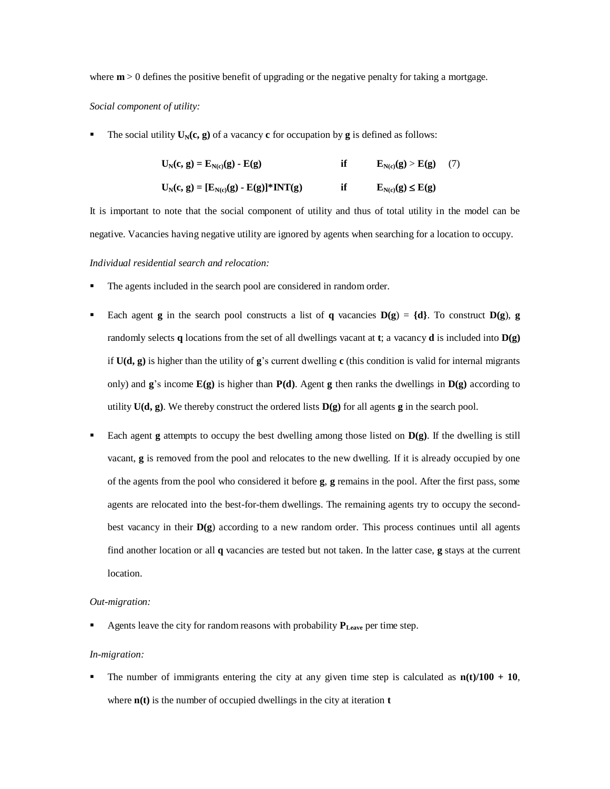where  $\mathbf{m} > 0$  defines the positive benefit of upgrading or the negative penalty for taking a mortgage.

*Social component of utility:*

The social utility  $U_N(c, g)$  of a vacancy  $c$  for occupation by  $g$  is defined as follows:

| $U_N(c, g) = E_{N(c)}(g) - E(g)$            | $E_{N(c)}(g) > E(g)$ (7) |  |
|---------------------------------------------|--------------------------|--|
| $U_N(c, g) = [E_{N(c)}(g) - E(g)]^* INT(g)$ | $E_{N(c)}(g) \leq E(g)$  |  |

It is important to note that the social component of utility and thus of total utility in the model can be negative. Vacancies having negative utility are ignored by agents when searching for a location to occupy.

*Individual residential search and relocation:* 

- The agents included in the search pool are considered in random order.
- Each agent **g** in the search pool constructs a list of **q** vacancies  $D(g) = \{d\}$ . To construct  $D(g)$ , **g** randomly selects **q** locations from the set of all dwellings vacant at **t**; a vacancy **d** is included into **D(g)** if **U(d, g)** is higher than the utility of **g**'s current dwelling **c** (this condition is valid for internal migrants only) and  $\mathbf{g}'s$  income  $\mathbf{E}(\mathbf{g})$  is higher than  $\mathbf{P}(\mathbf{d})$ . Agent  $\mathbf{g}$  then ranks the dwellings in  $\mathbf{D}(\mathbf{g})$  according to utility  $U(d, g)$ . We thereby construct the ordered lists  $D(g)$  for all agents **g** in the search pool.
- Each agent **g** attempts to occupy the best dwelling among those listed on **D(g)**. If the dwelling is still vacant, **g** is removed from the pool and relocates to the new dwelling. If it is already occupied by one of the agents from the pool who considered it before **g**, **g** remains in the pool. After the first pass, some agents are relocated into the best-for-them dwellings. The remaining agents try to occupy the secondbest vacancy in their **D(g**) according to a new random order. This process continues until all agents find another location or all **q** vacancies are tested but not taken. In the latter case, **g** stays at the current location.

#### *Out-migration:*

Agents leave the city for random reasons with probability  $P_{\text{Leave}}$  per time step.

#### *In-migration:*

The number of immigrants entering the city at any given time step is calculated as  $n(t)/100 + 10$ , where **n(t)** is the number of occupied dwellings in the city at iteration **t**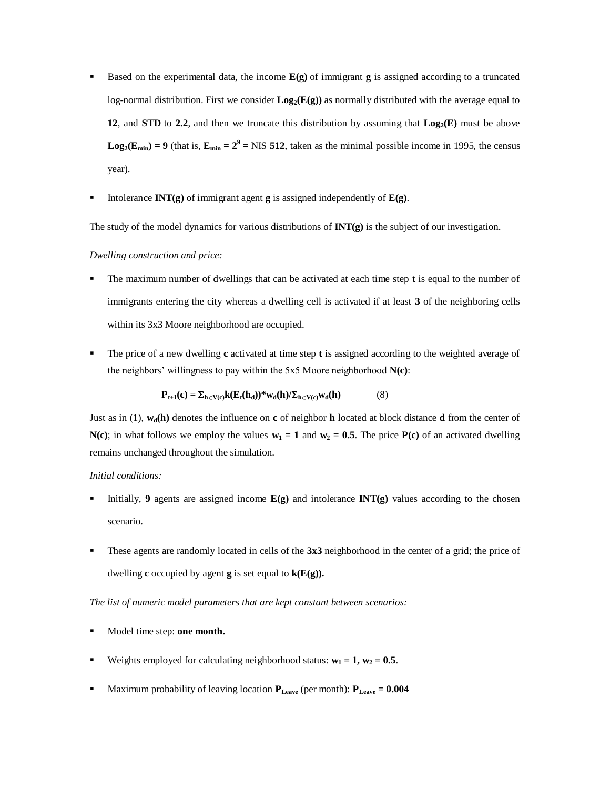- Based on the experimental data, the income **E(g)** of immigrant **g** is assigned according to a truncated log-normal distribution. First we consider  $\text{Log}_2(E(g))$  as normally distributed with the average equal to **12**, and **STD** to **2.2**, and then we truncate this distribution by assuming that  $\text{Log}_2(E)$  must be above  $\text{Log}_2(\mathbf{E}_{\text{min}}) = 9$  (that is,  $\mathbf{E}_{\text{min}} = 2^9 = \text{NIS } 512$ , taken as the minimal possible income in 1995, the census year).
- Intolerance **INT(g)** of immigrant agent **g** is assigned independently of **E(g)**.

The study of the model dynamics for various distributions of **INT(g)** is the subject of our investigation.

#### *Dwelling construction and price:*

- The maximum number of dwellings that can be activated at each time step **t** is equal to the number of immigrants entering the city whereas a dwelling cell is activated if at least **3** of the neighboring cells within its 3x3 Moore neighborhood are occupied.
- The price of a new dwelling **c** activated at time step **t** is assigned according to the weighted average of the neighbors' willingness to pay within the 5x5 Moore neighborhood **N(c)**:

$$
\mathbf{P}_{t+1}(c) = \Sigma_{h \in V(c)} k(\mathbf{E}_t(h_d))^* w_d(h) / \Sigma_{h \in V(c)} w_d(h)
$$
(8)

Just as in  $(1)$ ,  $w_d(h)$  denotes the influence on **c** of neighbor **h** located at block distance **d** from the center of **N(c)**; in what follows we employ the values  $w_1 = 1$  and  $w_2 = 0.5$ . The price **P(c)** of an activated dwelling remains unchanged throughout the simulation.

#### *Initial conditions:*

- Initially, **9** agents are assigned income  $E(g)$  and intolerance  $INT(g)$  values according to the chosen scenario.
- These agents are randomly located in cells of the **3x3** neighborhood in the center of a grid; the price of dwelling **c** occupied by agent **g** is set equal to **k(E(g)).**

#### *The list of numeric model parameters that are kept constant between scenarios:*

- Model time step: **one month.**
- Weights employed for calculating neighborhood status:  $w_1 = 1$ ,  $w_2 = 0.5$ .
- Maximum probability of leaving location  $P_{\text{Leave}}$  (per month):  $P_{\text{Leave}} = 0.004$